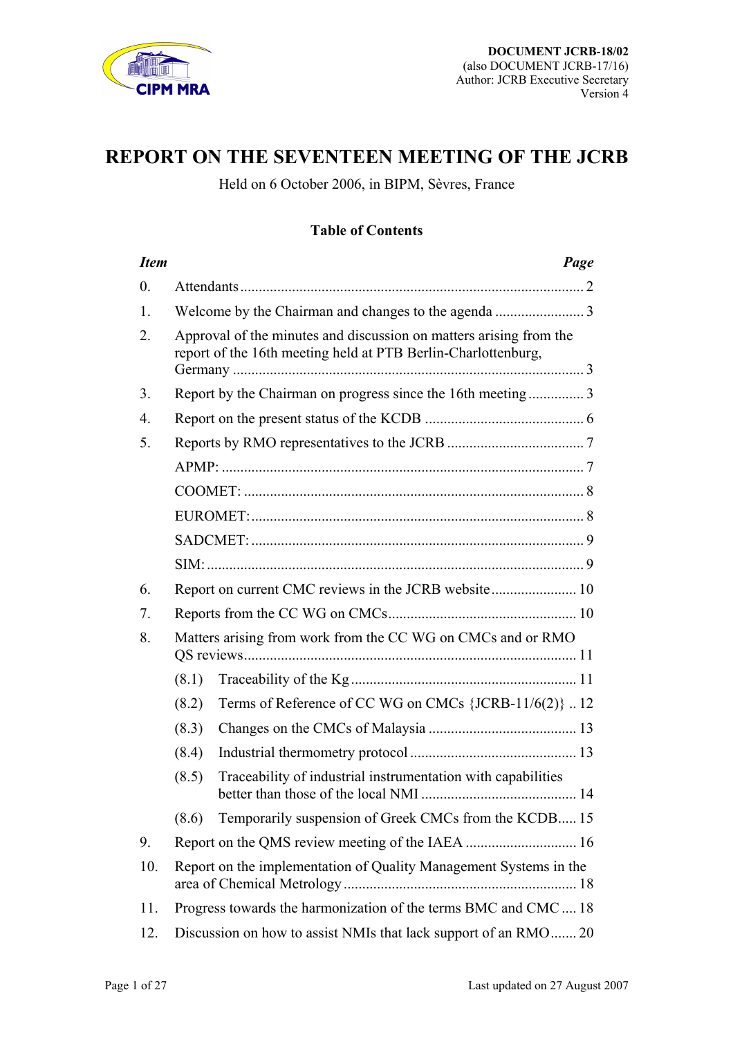

# **REPORT ON THE SEVENTEEN MEETING OF THE JCRB**

Held on 6 October 2006, in BIPM, Sèvres, France

### **Table of Contents**

| <b>Item</b>      |                                                                   |                                                                                                                                     | Page |
|------------------|-------------------------------------------------------------------|-------------------------------------------------------------------------------------------------------------------------------------|------|
| $\overline{0}$ . |                                                                   |                                                                                                                                     |      |
| 1.               |                                                                   |                                                                                                                                     |      |
| 2.               |                                                                   | Approval of the minutes and discussion on matters arising from the<br>report of the 16th meeting held at PTB Berlin-Charlottenburg, |      |
| 3.               |                                                                   | Report by the Chairman on progress since the 16th meeting3                                                                          |      |
| $\overline{4}$ . |                                                                   |                                                                                                                                     |      |
| 5.               |                                                                   |                                                                                                                                     |      |
|                  |                                                                   |                                                                                                                                     |      |
|                  |                                                                   |                                                                                                                                     |      |
|                  |                                                                   |                                                                                                                                     |      |
|                  |                                                                   |                                                                                                                                     |      |
|                  |                                                                   |                                                                                                                                     |      |
| 6.               |                                                                   |                                                                                                                                     |      |
| 7.               |                                                                   |                                                                                                                                     |      |
| 8.               |                                                                   | Matters arising from work from the CC WG on CMCs and or RMO                                                                         |      |
|                  | (8.1)                                                             |                                                                                                                                     |      |
|                  | (8.2)                                                             | Terms of Reference of CC WG on CMCs {JCRB-11/6(2)} 12                                                                               |      |
|                  | (8.3)                                                             |                                                                                                                                     |      |
|                  | (8.4)                                                             |                                                                                                                                     |      |
|                  | (8.5)                                                             | Traceability of industrial instrumentation with capabilities                                                                        |      |
|                  | (8.6)                                                             | Temporarily suspension of Greek CMCs from the KCDB 15                                                                               |      |
| 9.               |                                                                   |                                                                                                                                     |      |
| 10.              | Report on the implementation of Quality Management Systems in the |                                                                                                                                     |      |
| 11.              | Progress towards the harmonization of the terms BMC and CMC  18   |                                                                                                                                     |      |
| 12.              |                                                                   | Discussion on how to assist NMIs that lack support of an RMO 20                                                                     |      |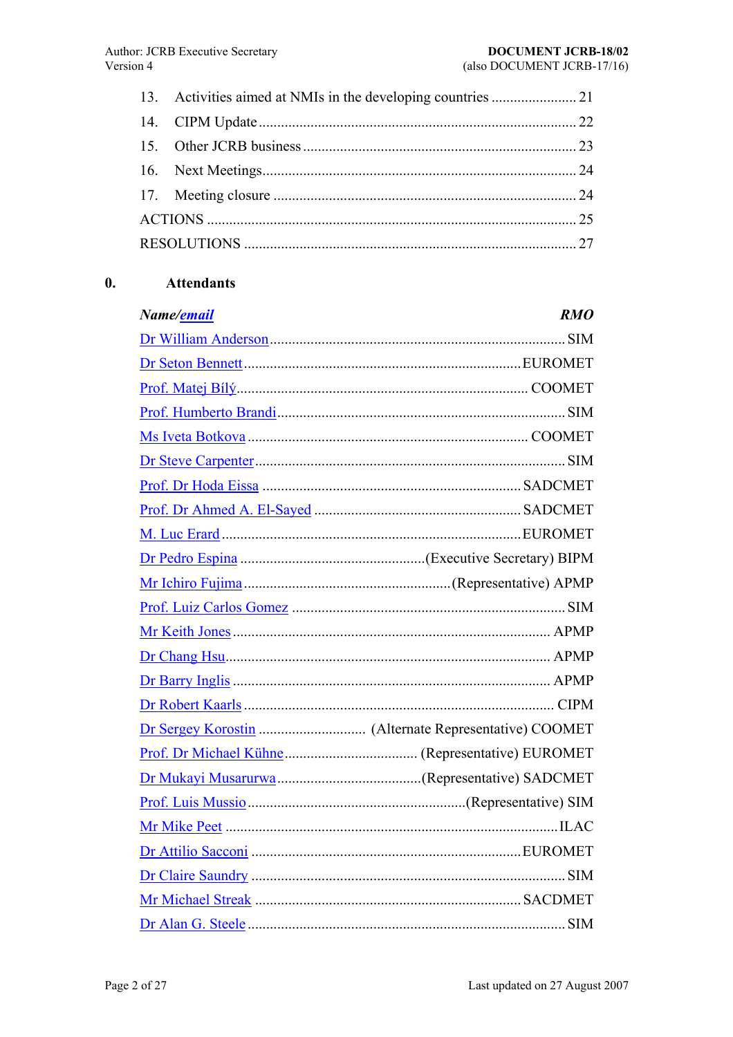<span id="page-1-0"></span>

#### $\mathbf{0}$ . **Attendants**

| Name/ <u>email</u> | <i>RMO</i> |
|--------------------|------------|
|                    |            |
|                    |            |
|                    |            |
|                    |            |
|                    |            |
|                    |            |
|                    |            |
|                    |            |
|                    |            |
|                    |            |
|                    |            |
|                    |            |
|                    |            |
|                    |            |
|                    |            |
|                    |            |
|                    |            |
|                    |            |
|                    |            |
|                    |            |
|                    |            |
|                    |            |
|                    |            |
|                    |            |
|                    |            |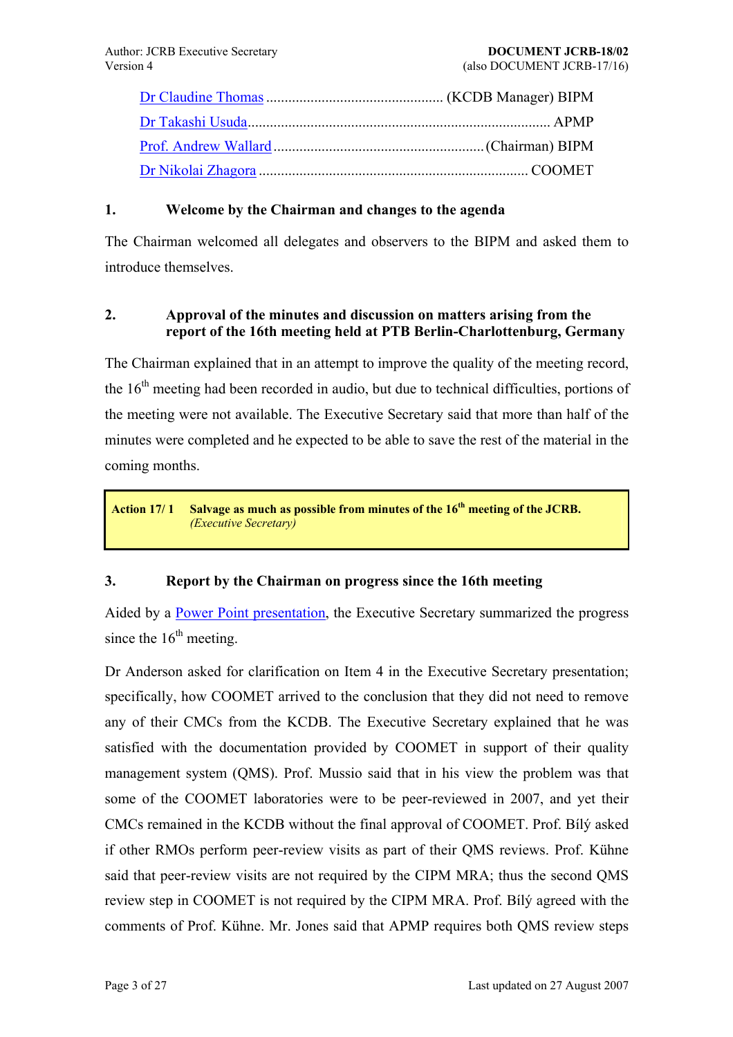<span id="page-2-0"></span>

### **1. [Welcome by the C](mailto:awallard@bipm.org)hairman and changes to the agenda**

The [Chairman welcomed](mailto:coomet@coomet.belpak.minsk.by) all delegates and observers to the BIPM and asked them to introduce themselves.

### **2. Approval of the minutes and discussion on matters arising from the report of the 16th meeting held at PTB Berlin-Charlottenburg, Germany**

The Chairman explained that in an attempt to improve the quality of the meeting record, the  $16<sup>th</sup>$  meeting had been recorded in audio, but due to technical difficulties, portions of the meeting were not available. The Executive Secretary said that more than half of the minutes were completed and he expected to be able to save the rest of the material in the coming months.

**Action 17/ 1 Salvage as much as possible from minutes of the 16th meeting of the JCRB.**  *(Executive Secretary)*

### **3. Report by the Chairman on progress since the 16th meeting**

Aided by a Power Point presentation, the Executive Secretary summarized the progress since the  $16<sup>th</sup>$  meeting.

Dr Anders[on asked for clarification o](https://www1.bipm.org/cc/JCRB/Restricted/17/17.03.Chairman_Report.ppt)n Item 4 in the Executive Secretary presentation; specifically, how COOMET arrived to the conclusion that they did not need to remove any of their CMCs from the KCDB. The Executive Secretary explained that he was satisfied with the documentation provided by COOMET in support of their quality management system (QMS). Prof. Mussio said that in his view the problem was that some of the COOMET laboratories were to be peer-reviewed in 2007, and yet their CMCs remained in the KCDB without the final approval of COOMET. Prof. Bilý asked if other RMOs perform peer-review visits as part of their QMS reviews. Prof. Kühne said that peer-review visits are not required by the CIPM MRA; thus the second QMS review step in COOMET is not required by the CIPM MRA. Prof. Bily agreed with the comments of Prof. Kühne. Mr. Jones said that APMP requires both QMS review steps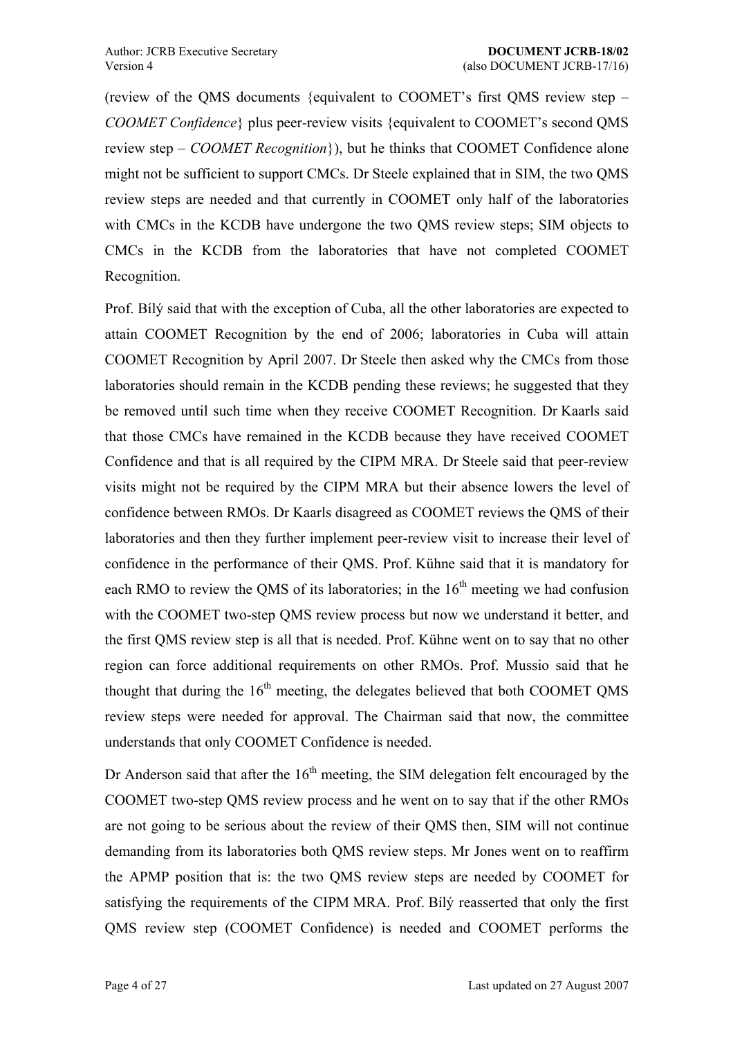(review of the OMS documents {equivalent to COOMET's first OMS review step  $-$ *COOMET Confidence* { plus peer-review visits {equivalent to COOMET's second QMS review step – *COOMET Recognition*}), but he thinks that COOMET Confidence alone might not be sufficient to support CMCs. Dr Steele explained that in SIM, the two QMS review steps are needed and that currently in COOMET only half of the laboratories with CMCs in the KCDB have undergone the two QMS review steps; SIM objects to CMCs in the KCDB from the laboratories that have not completed COOMET Recognition.

Prof. Bilý said that with the exception of Cuba, all the other laboratories are expected to attain COOMET Recognition by the end of 2006; laboratories in Cuba will attain COOMET Recognition by April 2007. Dr Steele then asked why the CMCs from those laboratories should remain in the KCDB pending these reviews; he suggested that they be removed until such time when they receive COOMET Recognition. Dr Kaarls said that those CMCs have remained in the KCDB because they have received COOMET Confidence and that is all required by the CIPM MRA. Dr Steele said that peer-review visits might not be required by the CIPM MRA but their absence lowers the level of confidence between RMOs. Dr Kaarls disagreed as COOMET reviews the QMS of their laboratories and then they further implement peer-review visit to increase their level of confidence in the performance of their QMS. Prof. Kühne said that it is mandatory for each RMO to review the OMS of its laboratories; in the  $16<sup>th</sup>$  meeting we had confusion with the COOMET two-step QMS review process but now we understand it better, and the first QMS review step is all that is needed. Prof. Kühne went on to say that no other region can force additional requirements on other RMOs. Prof. Mussio said that he thought that during the  $16<sup>th</sup>$  meeting, the delegates believed that both COOMET QMS review steps were needed for approval. The Chairman said that now, the committee understands that only COOMET Confidence is needed.

Dr Anderson said that after the  $16<sup>th</sup>$  meeting, the SIM delegation felt encouraged by the COOMET two-step QMS review process and he went on to say that if the other RMOs are not going to be serious about the review of their QMS then, SIM will not continue demanding from its laboratories both QMS review steps. Mr Jones went on to reaffirm the APMP position that is: the two QMS review steps are needed by COOMET for satisfying the requirements of the CIPM MRA. Prof. Bily reasserted that only the first QMS review step (COOMET Confidence) is needed and COOMET performs the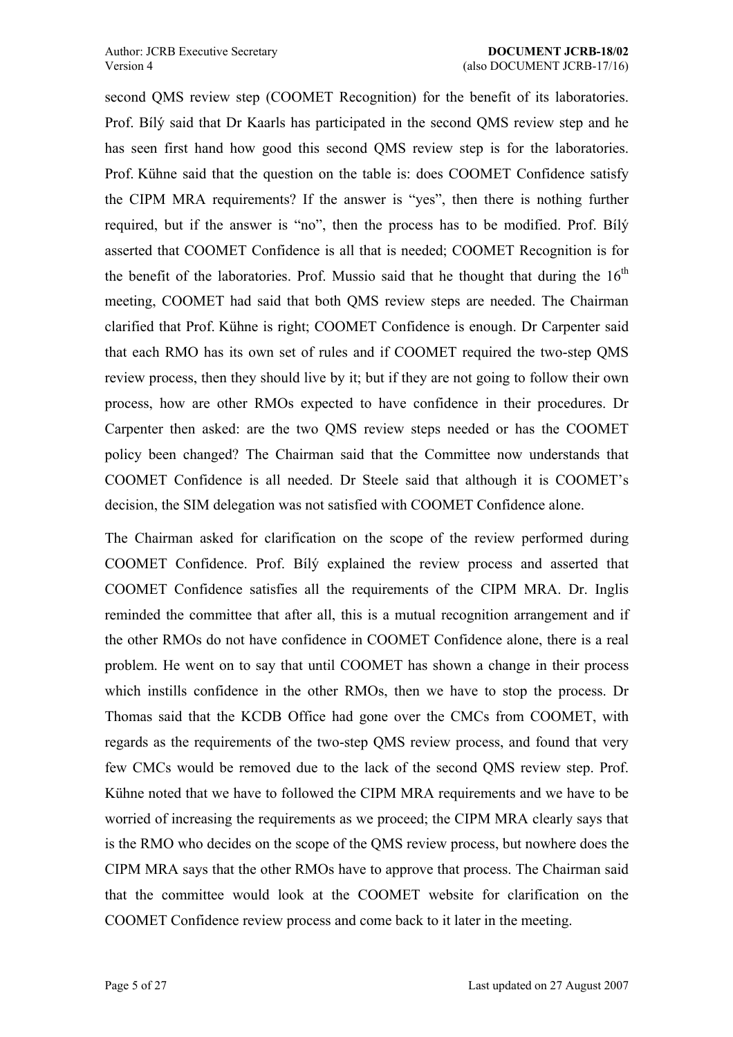second QMS review step (COOMET Recognition) for the benefit of its laboratories. Prof. Bilý said that Dr Kaarls has participated in the second QMS review step and he has seen first hand how good this second QMS review step is for the laboratories. Prof. Kühne said that the question on the table is: does COOMET Confidence satisfy the CIPM MRA requirements? If the answer is "yes", then there is nothing further required, but if the answer is "no", then the process has to be modified. Prof. Bily asserted that COOMET Confidence is all that is needed; COOMET Recognition is for the benefit of the laboratories. Prof. Mussio said that he thought that during the  $16<sup>th</sup>$ meeting, COOMET had said that both QMS review steps are needed. The Chairman clarified that Prof. Kühne is right; COOMET Confidence is enough. Dr Carpenter said that each RMO has its own set of rules and if COOMET required the two-step QMS review process, then they should live by it; but if they are not going to follow their own process, how are other RMOs expected to have confidence in their procedures. Dr Carpenter then asked: are the two QMS review steps needed or has the COOMET policy been changed? The Chairman said that the Committee now understands that COOMET Confidence is all needed. Dr Steele said that although it is COOMET's decision, the SIM delegation was not satisfied with COOMET Confidence alone.

The Chairman asked for clarification on the scope of the review performed during COOMET Confidence. Prof. Bily explained the review process and asserted that COOMET Confidence satisfies all the requirements of the CIPM MRA. Dr. Inglis reminded the committee that after all, this is a mutual recognition arrangement and if the other RMOs do not have confidence in COOMET Confidence alone, there is a real problem. He went on to say that until COOMET has shown a change in their process which instills confidence in the other RMOs, then we have to stop the process. Dr Thomas said that the KCDB Office had gone over the CMCs from COOMET, with regards as the requirements of the two-step QMS review process, and found that very few CMCs would be removed due to the lack of the second QMS review step. Prof. Kühne noted that we have to followed the CIPM MRA requirements and we have to be worried of increasing the requirements as we proceed; the CIPM MRA clearly says that is the RMO who decides on the scope of the QMS review process, but nowhere does the CIPM MRA says that the other RMOs have to approve that process. The Chairman said that the committee would look at the COOMET website for clarification on the COOMET Confidence review process and come back to it later in the meeting.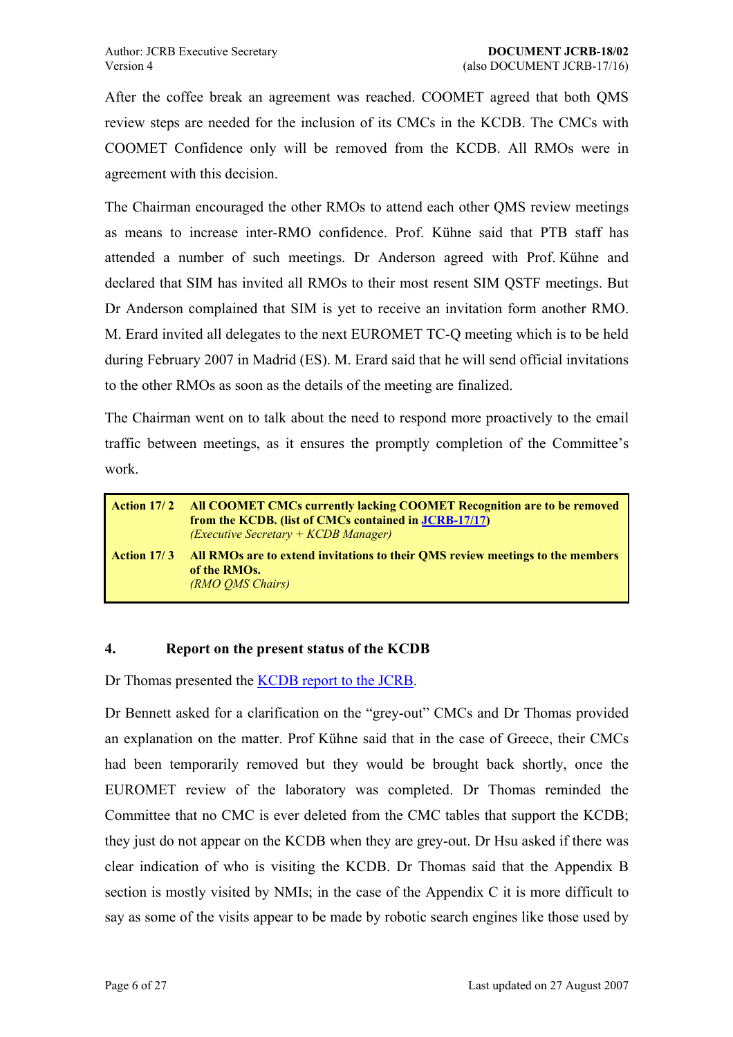<span id="page-5-0"></span>After the coffee break an agreement was reached. COOMET agreed that both QMS review steps are needed for the inclusion of its CMCs in the KCDB. The CMCs with COOMET Confidence only will be removed from the KCDB. All RMOs were in agreement with this decision.

The Chairman encouraged the other RMOs to attend each other QMS review meetings as means to increase inter-RMO confidence. Prof. Kühne said that PTB staff has attended a number of such meetings. Dr Anderson agreed with Prof. Kühne and declared that SIM has invited all RMOs to their most resent SIM QSTF meetings. But Dr Anderson complained that SIM is yet to receive an invitation form another RMO. M. Erard invited all delegates to the next EUROMET TC-Q meeting which is to be held during February 2007 in Madrid (ES). M. Erard said that he will send official invitations to the other RMOs as soon as the details of the meeting are finalized.

The Chairman went on to talk about the need to respond more proactively to the email traffic between meetings, as it ensures the promptly completion of the Committee's work.

|                    | <b>Action 17/2 All COOMET CMCs currently lacking COOMET Recognition are to be removed</b><br>from the KCDB. (list of CMCs contained in JCRB-17/17)<br>$(Execute$ Secretary + $KCDB$ Manager) |
|--------------------|----------------------------------------------------------------------------------------------------------------------------------------------------------------------------------------------|
| <b>Action 17/3</b> | All RMOs are to extend invitations to their QMS review meetings to the members<br>of the RMOs.<br>(RMO OMS Chairs)                                                                           |

#### <span id="page-5-1"></span>**4. Report on the present status of the KCDB**

Dr Thomas presented the KCDB report to the JCRB.

Dr Bennett asked for a clarification on the "grey-out" CMCs and Dr Thomas provided an explanation on the matter. Prof Kühne said that in the case of Greece, their CMCs had been temporarily removed but they would be brought back shortly, once the EUROMET review of the laboratory was completed. Dr Thomas reminded the Committee that no CMC is ever deleted from the CMC tables that support the KCDB; they just do not appear on the KCDB when they are grey-out. Dr Hsu asked if there was clear indication of who is visiting the KCDB. Dr Thomas said that the Appendix B section is mostly visited by NMIs; in the case of the Appendix C it is more difficult to say as some of the visits appear to be made by robotic search engines like those used by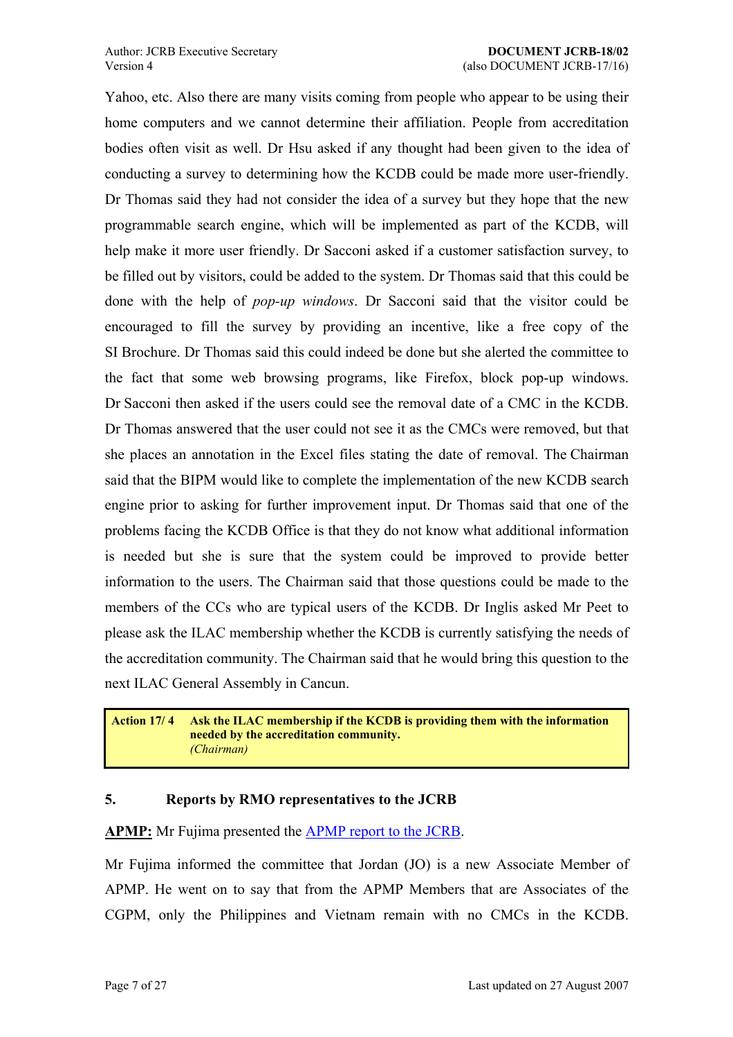<span id="page-6-0"></span>Yahoo, etc. Also there are many visits coming from people who appear to be using their home computers and we cannot determine their affiliation. People from accreditation bodies often visit as well. Dr Hsu asked if any thought had been given to the idea of conducting a survey to determining how the KCDB could be made more user-friendly. Dr Thomas said they had not consider the idea of a survey but they hope that the new programmable search engine, which will be implemented as part of the KCDB, will help make it more user friendly. Dr Sacconi asked if a customer satisfaction survey, to be filled out by visitors, could be added to the system. Dr Thomas said that this could be done with the help of *pop-up windows*. Dr Sacconi said that the visitor could be encouraged to fill the survey by providing an incentive, like a free copy of the SI Brochure. Dr Thomas said this could indeed be done but she alerted the committee to the fact that some web browsing programs, like Firefox, block pop-up windows. Dr Sacconi then asked if the users could see the removal date of a CMC in the KCDB. Dr Thomas answered that the user could not see it as the CMCs were removed, but that she places an annotation in the Excel files stating the date of removal. The Chairman said that the BIPM would like to complete the implementation of the new KCDB search engine prior to asking for further improvement input. Dr Thomas said that one of the problems facing the KCDB Office is that they do not know what additional information is needed but she is sure that the system could be improved to provide better information to the users. The Chairman said that those questions could be made to the members of the CCs who are typical users of the KCDB. Dr Inglis asked Mr Peet to please ask the ILAC membership whether the KCDB is currently satisfying the needs of the accreditation community. The Chairman said that he would bring this question to the next ILAC General Assembly in Cancun.

**Action 17/ 4 Ask the ILAC membership if the KCDB is providing them with the information needed by the accreditation community.** *(Chairman)*

### **5. Reports by RMO representatives to the JCRB**

**APMP:** Mr Fujima presented the APMP report to the JCRB.

Mr Fujima informed the committee that Jordan (JO) is a new Associate Member of APMP. He went on to say that [from the APMP Members](https://www1.bipm.org/cc/JCRB/Restricted/17/17.05.1.APMP_Report.0.pdf) that are Associates of the CGPM, only the Philippines and Vietnam remain with no CMCs in the KCDB.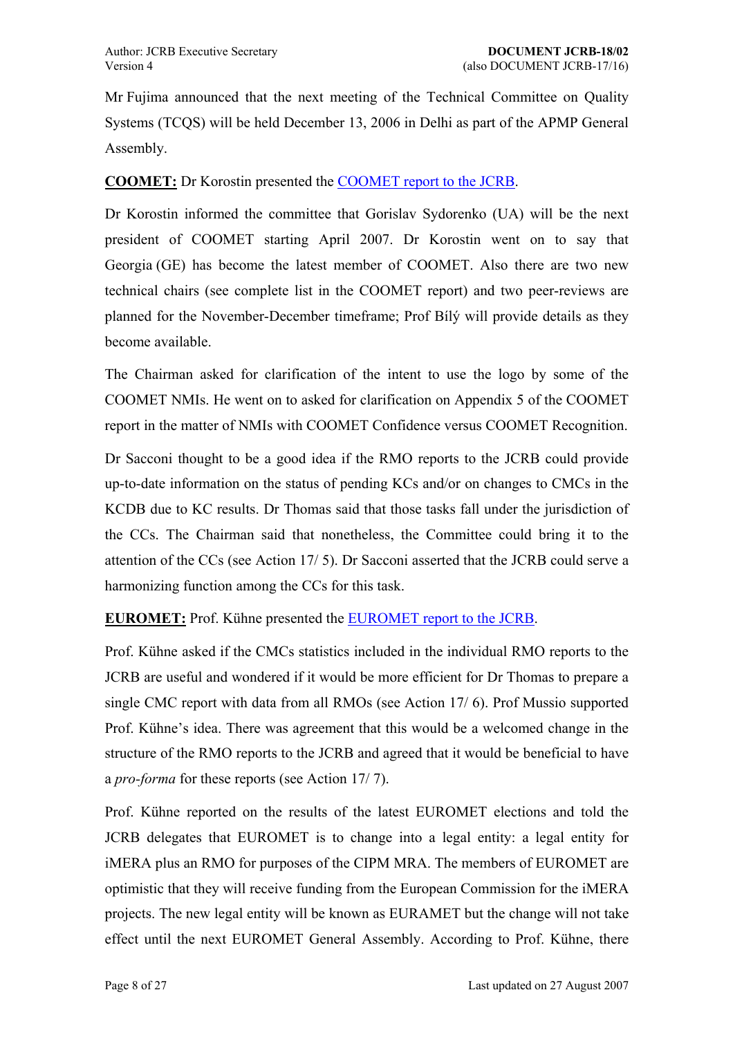<span id="page-7-0"></span>Mr Fujima announced that the next meeting of the Technical Committee on Quality Systems (TCQS) will be held December 13, 2006 in Delhi as part of the APMP General Assembly.

### **COOMET:** Dr Korostin presented the COOMET report to the JCRB.

Dr Korostin informed the committee that Gorislav Sydorenko (UA) will be the next president of COOMET starting Ap[ril 2007. Dr Korostin wen](https://www1.bipm.org/cc/JCRB/Restricted/17/17.05.2.COOMET_Report.zip)t on to say that Georgia (GE) has become the latest member of COOMET. Also there are two new technical chairs (see complete list in the COOMET report) and two peer-reviews are planned for the November-December timeframe; Prof Bílý will provide details as they become available.

The Chairman asked for clarification of the intent to use the logo by some of the COOMET NMIs. He went on to asked for clarification on Appendix 5 of the COOMET report in the matter of NMIs with COOMET Confidence versus COOMET Recognition.

Dr Sacconi thought to be a good idea if the RMO reports to the JCRB could provide up-to-date information on the status of pending KCs and/or on changes to CMCs in the KCDB due to KC results. Dr Thomas said that those tasks fall under the jurisdiction of the CCs. The Chairman said that nonetheless, the Committee could bring it to the attention of the CCs (see Action 17/ 5). Dr Sacconi asserted that the JCRB could serve a harmonizing function among the CCs for this task.

**EUROMET:** Prof. Küh[ne presented th](#page-9-1)e EUROMET report to the JCRB.

Prof. Kühne asked if the CMCs statistics included in the individual RMO reports to the JCRB are useful and wondered if it wou[ld be more efficient for Dr Thom](https://www1.bipm.org/cc/JCRB/Restricted/17/17.05.3.EUROMET_Report.0.pdf)as to prepare a single CMC report with data from all RMOs (see Action 17/ 6). Prof Mussio supported Prof. Kühne's idea. There was agreement that this would be a welcomed change in the structure of the RMO reports to the JCRB and agr[eed that it wo](#page-9-2)uld be beneficial to have a *pro-forma* for these reports (see Action 17/ 7).

Prof. Kühne reported on the results of the latest EUROMET elections and told the JCRB delegates that EUROME[T is to chang](#page-9-3)e into a legal entity: a legal entity for iMERA plus an RMO for purposes of the CIPM MRA. The members of EUROMET are optimistic that they will receive funding from the European Commission for the iMERA projects. The new legal entity will be known as EURAMET but the change will not take effect until the next EUROMET General Assembly. According to Prof. Kühne, there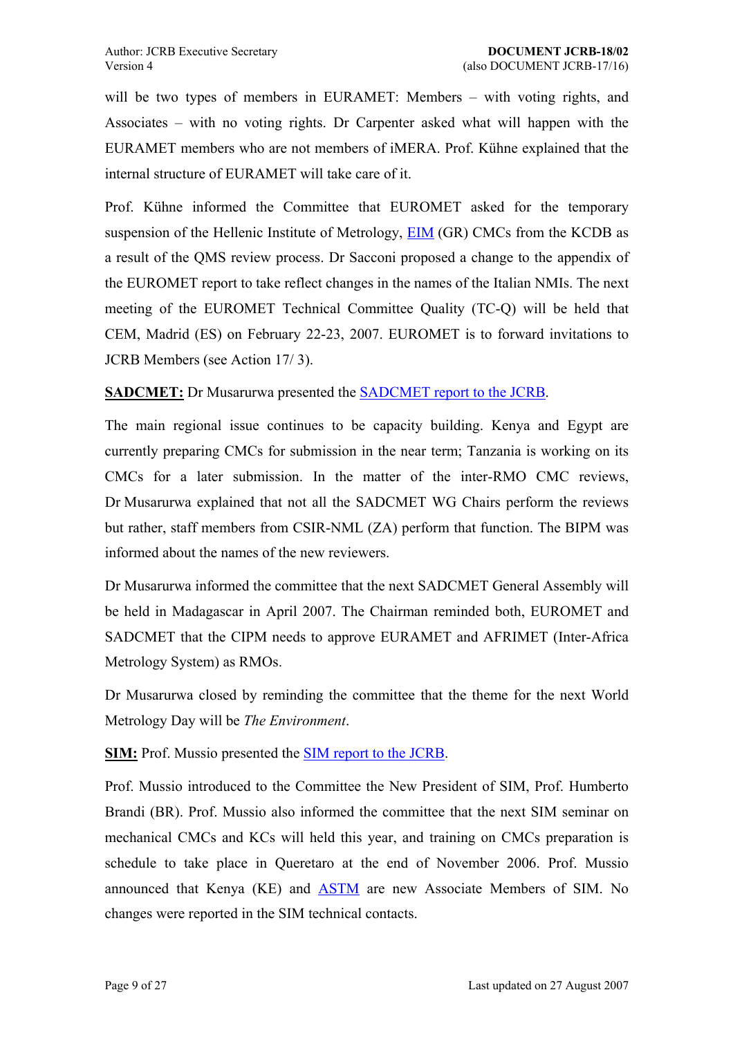<span id="page-8-0"></span>will be two types of members in EURAMET: Members  $-$  with voting rights, and Associates  $-$  with no voting rights. Dr Carpenter asked what will happen with the EURAMET members who are not members of iMERA. Prof. Kühne explained that the internal structure of EURAMET will take care of it.

Prof. Kühne informed the Committee that EUROMET asked for the temporary suspension of the Hellenic Institute of Metrology, EIM (GR) CMCs from the KCDB as a result of the QMS review process. Dr Sacconi proposed a change to the appendix of the EUROMET report to take reflect changes in th[e nam](http://www.eim.org.gr/)es of the Italian NMIs. The next meeting of the EUROMET Technical Committee Quality (TC-Q) will be held that CEM, Madrid (ES) on February 22-23, 2007. EUROMET is to forward invitations to JCRB Members (see Action 17/ 3).

**SADCMET:** Dr Musarurwa presented the SADCMET report to the JCRB.

The main regional [issue continu](#page-5-1)es to be capacity building. Kenya and Egypt are currently preparing CMCs for submission [in the near term; Tanzania is w](https://www1.bipm.org/cc/JCRB/Restricted/17/17.05.4.SADCMET_Report.0.pdf)orking on its CMCs for a later submission. In the matter of the inter-RMO CMC reviews, Dr Musarurwa explained that not all the SADCMET WG Chairs perform the reviews but rather, staff members from CSIR-NML (ZA) perform that function. The BIPM was informed about the names of the new reviewers.

Dr Musarurwa informed the committee that the next SADCMET General Assembly will be held in Madagascar in April 2007. The Chairman reminded both, EUROMET and SADCMET that the CIPM needs to approve EURAMET and AFRIMET (Inter-Africa Metrology System) as RMOs.

Dr Musarurwa closed by reminding the committee that the theme for the next World Metrology Day will be *The Environment*.

**SIM:** Prof. Mussio presented the SIM report to the JCRB.

Prof. Mussio introduced to the Committee the New President of SIM, Prof. Humberto Brandi (BR). Prof. Mussio also [informed the committee](https://www1.bipm.org/cc/JCRB/Restricted/17/17.05.5.SIM_Report.zip) that the next SIM seminar on mechanical CMCs and KCs will held this year, and training on CMCs preparation is schedule to take place in Queretaro at the end of November 2006. Prof. Mussio announced that Kenya (KE) and ASTM are new Associate Members of SIM. No changes were reported in the SIM technical contacts.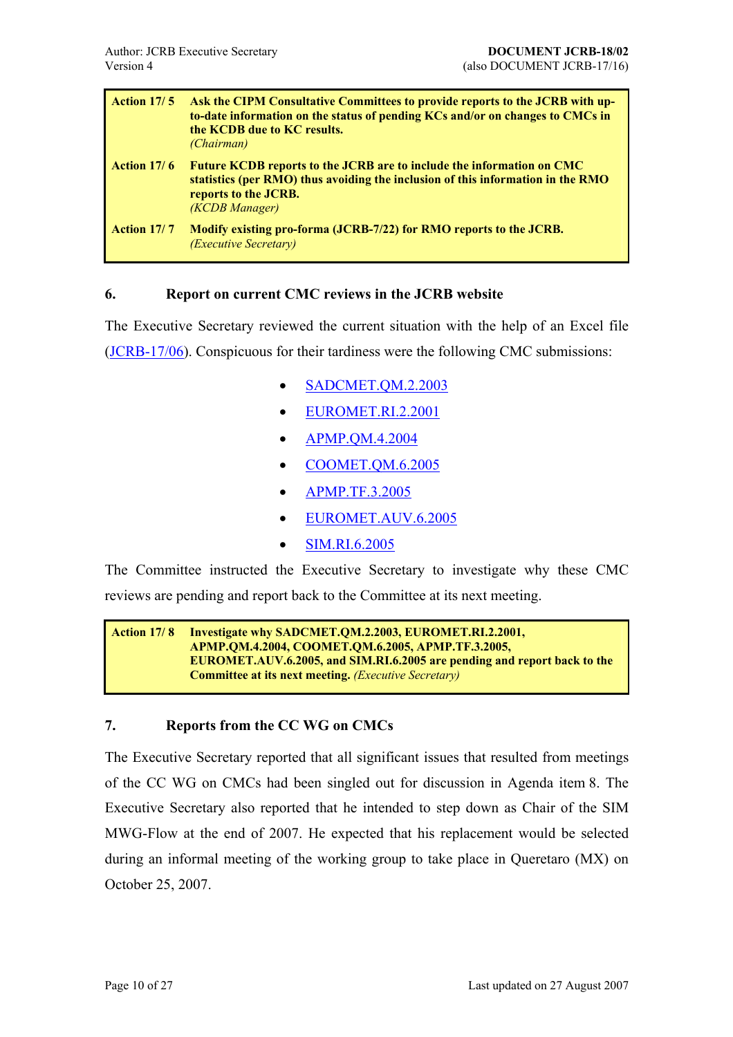<span id="page-9-1"></span><span id="page-9-0"></span>

| <b>Action 17/5</b> | Ask the CIPM Consultative Committees to provide reports to the JCRB with up-<br>to-date information on the status of pending KCs and/or on changes to CMCs in<br>the KCDB due to KC results.<br><i>(Chairman)</i> |
|--------------------|-------------------------------------------------------------------------------------------------------------------------------------------------------------------------------------------------------------------|
| <b>Action 17/6</b> | <b>Future KCDB reports to the JCRB are to include the information on CMC</b><br>statistics (per RMO) thus avoiding the inclusion of this information in the RMO<br>reports to the JCRB.<br>(KCDB Manager)         |
| <b>Action 17/7</b> | Modify existing pro-forma (JCRB-7/22) for RMO reports to the JCRB.<br><i>(Executive Secretary)</i>                                                                                                                |

### <span id="page-9-3"></span><span id="page-9-2"></span>**6. Report on current CMC reviews in the JCRB website**

The Executive Secretary reviewed the current situation with the help of an Excel file (JCRB-17/06). Conspicuous for their tardiness were the following CMC submissions:

- SADCMET.QM.2.2003
- EUROMET.RI.2.2001
- [APMP.QM.4.2004](https://www1.bipm.org/JCRBCMCs/ShowCMCentry.jsp?CMC=SADCMET.QM.2.2003&x=27&y=5)
- [COOMET.QM.6.2005](https://www1.bipm.org/JCRBCMCs/ShowCMCentry.jsp?CMC=EUROMET.RI.2.2001&x=28&y=10)
- [APMP.TF.3.2005](https://www1.bipm.org/JCRBCMCs/ShowCMCentry.jsp?CMC=APMP.QM.4.2004&x=25&y=10)
- [EUROMET.AUV.6.20](https://www1.bipm.org/JCRBCMCs/ShowCMCentry.jsp?CMC=COOMET.QM.6.2005&x=42&y=10)05
- [SIM.RI.6.2005](https://www1.bipm.org/JCRBCMCs/ShowCMCentry.jsp?CMC=APMP.TF.3.2005&x=19&y=11)

The Committee instructed the [Executive Secretary to in](https://www1.bipm.org/JCRBCMCs/ShowCMCentry.jsp?CMC=EUROMET.AUV.6.2005&x=28&y=6)vestigate why these CMC reviews are pending and report ba[ck to the Comm](https://www1.bipm.org/JCRBCMCs/ShowCMCentry.jsp?CMC=SIM.RI.6.2005&x=15&y=7)ittee at its next meeting.

```
Action 17/ 8 Investigate why SADCMET.QM.2.2003, EUROMET.RI.2.2001,
 APMP.QM.4.2004, COOMET.QM.6.2005, APMP.TF.3.2005, 
 EUROMET.AUV.6.2005, and SIM.RI.6.2005 are pending and report back to the 
 Committee at its next meeting. (Executive Secretary)
```
### **7. Reports from the CC WG on CMCs**

The Executive Secretary reported that all significant issues that resulted from meetings of the CC WG on CMCs had been singled out for discussion in Agenda item 8. The Executive Secretary also reported that he intended to step down as Chair of the SIM MWG-Flow at the end of 2007. He expected that his replacement would be s[el](#page-10-1)ected during an informal meeting of the working group to take place in Queretaro (MX) on October 25, 2007.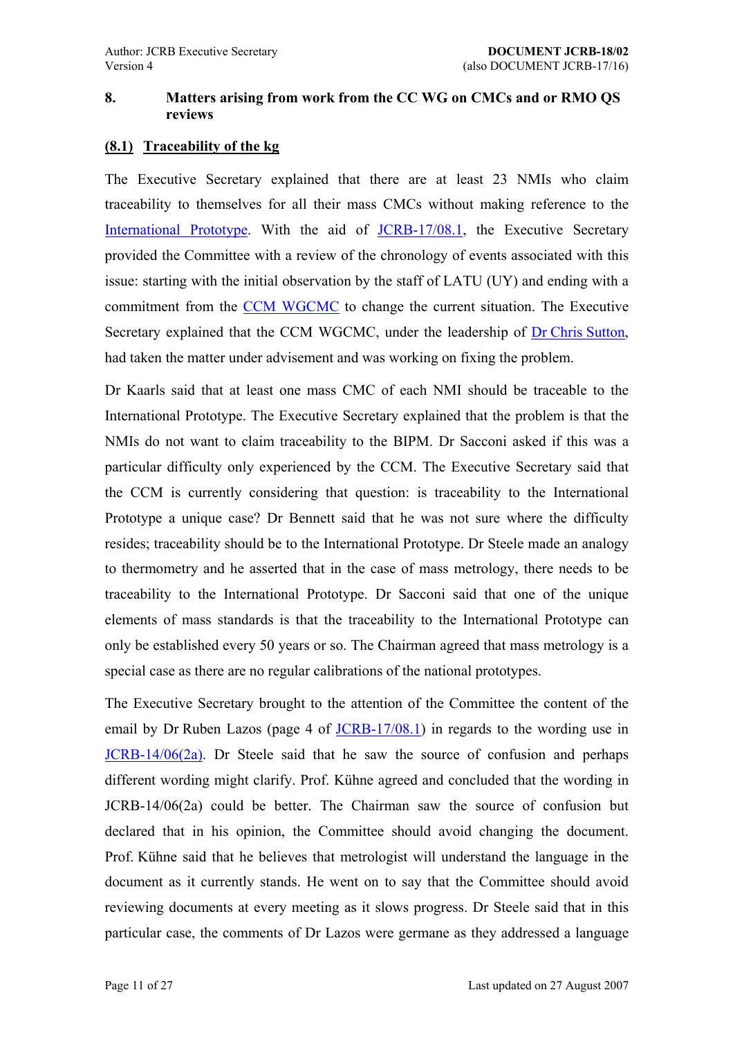### <span id="page-10-0"></span>**8. Matters arising from work from the CC WG on CMCs and or RMO QS reviews**

### **(8.1) Traceability of the kg**

<span id="page-10-1"></span>The Executive Secretary explained that there are at least 23 NMIs who claim traceability to themselves for all their mass CMCs without making reference to the International Prototype. With the aid of JCRB-17/08.1, the Executive Secretary provided the Committee with a review of the chronology of events associated with this [issue: starting with the i](https://www1.bipm.org/en/si/si_brochure/appendix2/mass.html)nitial observation by [the staff](https://www1.bipm.org/cc/JCRB/Restricted/17/17.08.1.Mass_Traceability.0.pdf) of LATU (UY) and ending with a commitment from the CCM WGCMC to change the current situation. The Executive Secretary explained that the CCM WGCMC, under the leadership of Dr Chris Sutton, had taken the matter u[nder advisement a](https://www1.bipm.org/wg/CCM/CCM-WGCMC/Restricted/welcome.jsp)nd was working on fixing the problem.

Dr Kaarls said that at least one mass CMC of each NMI should be [traceable to the](mailto:c.sutton@irl.cri.nz) International Prototype. The Executive Secretary explained that the problem is that the NMIs do not want to claim traceability to the BIPM. Dr Sacconi asked if this was a particular difficulty only experienced by the CCM. The Executive Secretary said that the CCM is currently considering that question: is traceability to the International Prototype a unique case? Dr Bennett said that he was not sure where the difficulty resides; traceability should be to the International Prototype. Dr Steele made an analogy to thermometry and he asserted that in the case of mass metrology, there needs to be traceability to the International Prototype. Dr Sacconi said that one of the unique elements of mass standards is that the traceability to the International Prototype can only be established every 50 years or so. The Chairman agreed that mass metrology is a special case as there are no regular calibrations of the national prototypes.

The Executive Secretary brought to the attention of the Committee the content of the email by Dr Ruben Lazos (page 4 of JCRB-17/08.1) in regards to the wording use in JCRB-14/06(2a). Dr Steele said that he saw the source of confusion and perhaps different wording might clarify. Prof. Kühne agreed and concluded that the wording in [JCRB-14/06\(2a\)](https://www1.bipm.org/utils/common/documents/jcrb/AppC_criteria.pdf) could be better. The Chairman saw the source of confusion but declared that in his opinion, the Committee should avoid changing the document. Prof. Kühne said that he believes that metrologist will understand the language in the document as it currently stands. He went on to say that the Committee should avoid reviewing documents at every meeting as it slows progress. Dr Steele said that in this particular case, the comments of Dr Lazos were germane as they addressed a language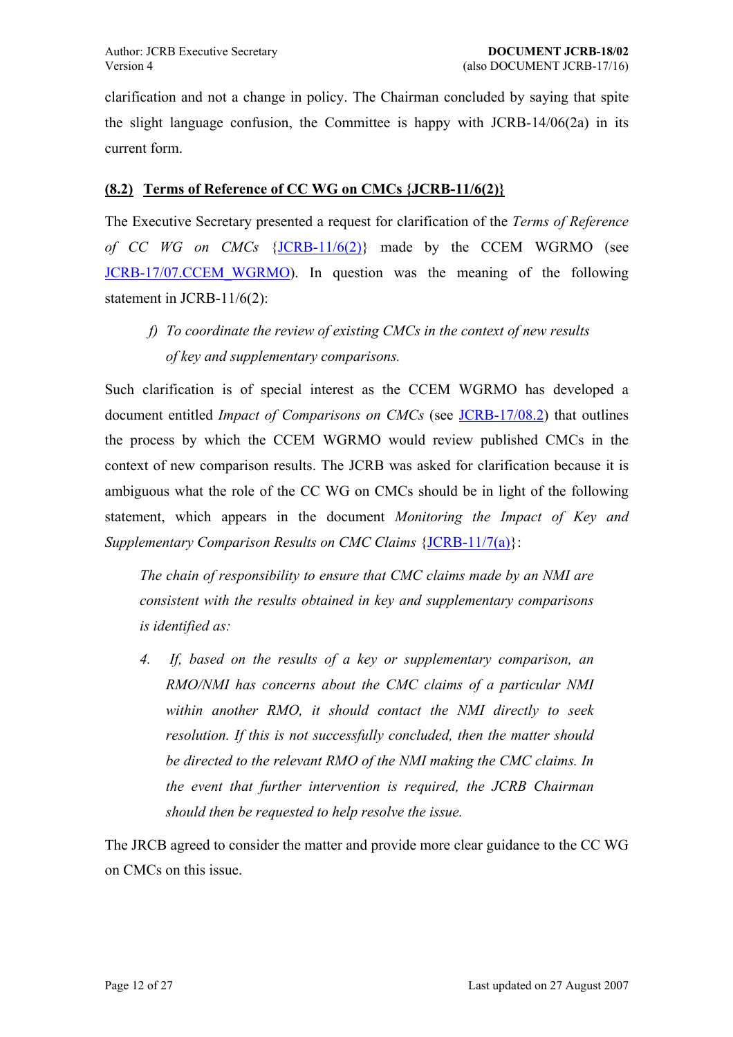<span id="page-11-0"></span>clarification and not a change in policy. The Chairman concluded by saying that spite the slight language confusion, the Committee is happy with JCRB-14/06(2a) in its current form.

### **(8.2) Terms of Reference of CC WG on CMCs {JCRB-11/6(2)}**

The Executive Secretary presented a request for clarification of the *Terms of Reference of CC WG on CMCs* {JCRB-11/6(2)} made by the CCEM WGRMO (see JCRB-17/07.CCEM\_WGRMO). In question was the meaning of the following statement in JCRB-11/6(2):

*[f\) To coordinate the rev](https://www1.bipm.org/cc/JCRB/Restricted/17/17.07.CCEM_WGRMO.1.pdf)iew of existing CMCs in the context of new results of key and supplementary comparisons.* 

Such clarification is of special interest as the CCEM WGRMO has developed a document entitled *Impact of Comparisons on CMCs* (see JCRB-17/08.2) that outlines the process by which the CCEM WGRMO would review published CMCs in the context of new comparison results. The JCRB was asked [for clarification](https://www1.bipm.org/cc/JCRB/Restricted/17/17.08.2.CCEM_WGRMO_06_03.pdf) because it is ambiguous what the role of the CC WG on CMCs should be in light of the following statement, which appears in the document *Monitoring the Impact of Key and Supplementary Comparison Results on CMC Claims* {JCRB-11/7(a)}:

*The chain of responsibility to ensure that CMC claims made by an NMI are consistent with the results obtained in key and [supplementary](https://www1.bipm.org/cc/JCRB/Restricted/11/7(a)_rev.pdf) comparisons is identified as:* 

*4. If, based on the results of a key or supplementary comparison, an RMO/NMI has concerns about the CMC claims of a particular NMI within another RMO, it should contact the NMI directly to seek resolution. If this is not successfully concluded, then the matter should be directed to the relevant RMO of the NMI making the CMC claims. In the event that further intervention is required, the JCRB Chairman should then be requested to help resolve the issue.* 

The JRCB agreed to consider the matter and provide more clear guidance to the CC WG on CMCs on this issue.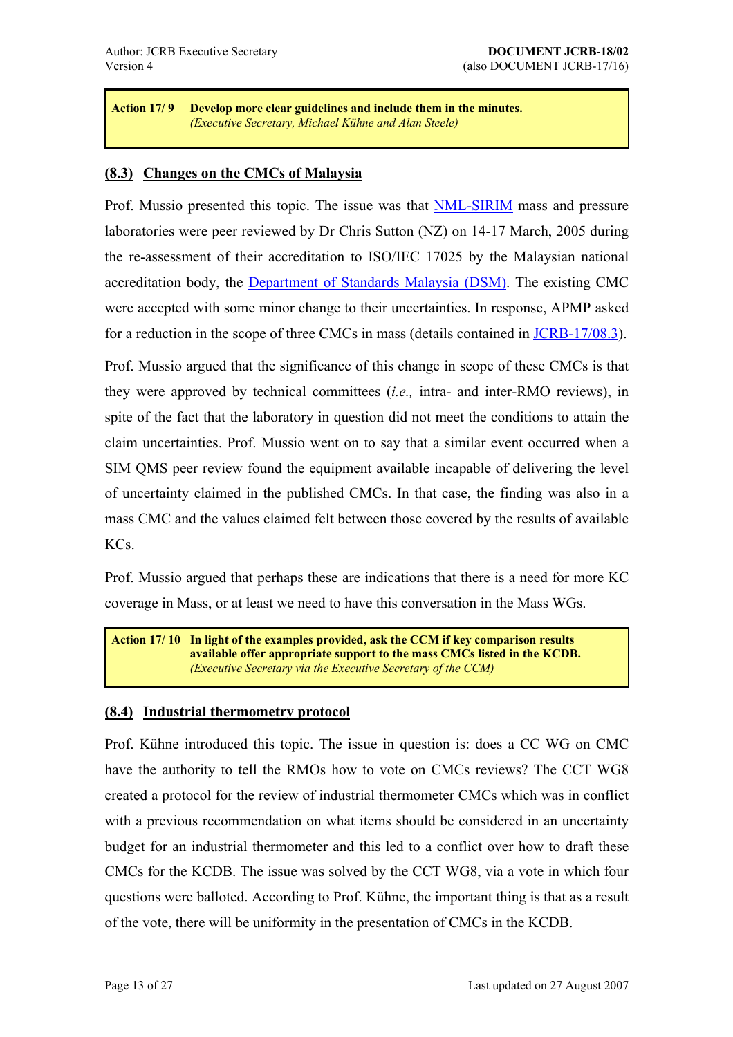<span id="page-12-0"></span>**Action 17/ 9 Develop more clear guidelines and include them in the minutes.** *(Executive Secretary, Michael Kühne and Alan Steele)* 

### **(8.3) Changes on the CMCs of Malaysia**

Prof. Mussio presented this topic. The issue was that NML-SIRIM mass and pressure laboratories were peer reviewed by Dr Chris Sutton (NZ) on 14-17 March, 2005 during the re-assessment of their accreditation to ISO/IEC 1[7025 by the](http://www.sirim.my/) Malaysian national accreditation body, the Department of Standards Malaysia (DSM). The existing CMC were accepted with some minor change to their uncertainties. In response, APMP asked for a reduction in the sc[ope of three CMCs in mass \(details containe](http://www.dsm.gov.my/)d in JCRB-17/08.3).

Prof. Mussio argued that the significance of this change in scope of these CMCs is that they were approved by technical committees (*i.e.,* intra- and inter-R[MO reviews\), i](https://www1.bipm.org/cc/JCRB/Restricted/17/17.08.3.Malaysia.0.doc)n spite of the fact that the laboratory in question did not meet the conditions to attain the claim uncertainties. Prof. Mussio went on to say that a similar event occurred when a SIM QMS peer review found the equipment available incapable of delivering the level of uncertainty claimed in the published CMCs. In that case, the finding was also in a mass CMC and the values claimed felt between those covered by the results of available KCs.

Prof. Mussio argued that perhaps these are indications that there is a need for more KC coverage in Mass, or at least we need to have this conversation in the Mass WGs.

**Action 17/ 10 In light of the examples provided, ask the CCM if key comparison results available offer appropriate support to the mass CMCs listed in the KCDB.** *(Executive Secretary via the Executive Secretary of the CCM)*

### **(8.4) Industrial thermometry protocol**

Prof. Kühne introduced this topic. The issue in question is: does a CC WG on CMC have the authority to tell the RMOs how to vote on CMCs reviews? The CCT WG8 created a protocol for the review of industrial thermometer CMCs which was in conflict with a previous recommendation on what items should be considered in an uncertainty budget for an industrial thermometer and this led to a conflict over how to draft these CMCs for the KCDB. The issue was solved by the CCT WG8, via a vote in which four questions were balloted. According to Prof. Kühne, the important thing is that as a result of the vote, there will be uniformity in the presentation of CMCs in the KCDB.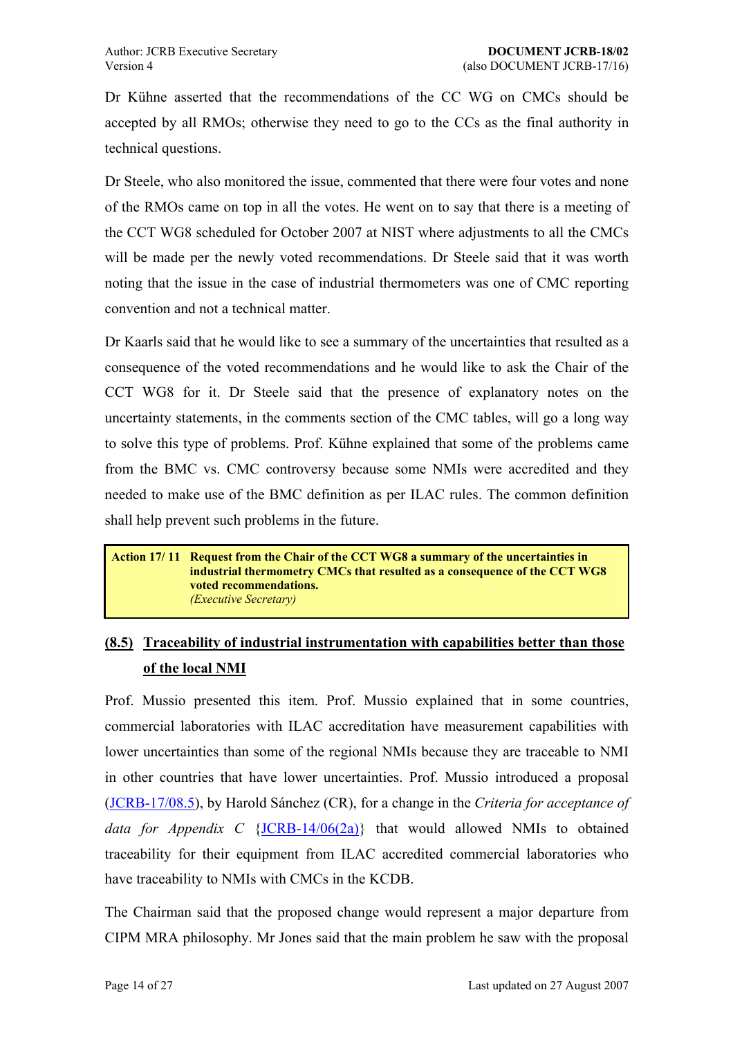<span id="page-13-0"></span>Dr Kühne asserted that the recommendations of the CC WG on CMCs should be accepted by all RMOs; otherwise they need to go to the CCs as the final authority in technical questions.

Dr Steele, who also monitored the issue, commented that there were four votes and none of the RMOs came on top in all the votes. He went on to say that there is a meeting of the CCT WG8 scheduled for October 2007 at NIST where adjustments to all the CMCs will be made per the newly voted recommendations. Dr Steele said that it was worth noting that the issue in the case of industrial thermometers was one of CMC reporting convention and not a technical matter.

Dr Kaarls said that he would like to see a summary of the uncertainties that resulted as a consequence of the voted recommendations and he would like to ask the Chair of the CCT WG8 for it. Dr Steele said that the presence of explanatory notes on the uncertainty statements, in the comments section of the CMC tables, will go a long way to solve this type of problems. Prof. Kühne explained that some of the problems came from the BMC vs. CMC controversy because some NMIs were accredited and they needed to make use of the BMC definition as per ILAC rules. The common definition shall help prevent such problems in the future.

#### **Action 17/ 11 Request from the Chair of the CCT WG8 a summary of the uncertainties in industrial thermometry CMCs that resulted as a consequence of the CCT WG8 voted recommendations.** *(Executive Secretary)*

# **(8.5) Traceability of industrial instrumentation with capabilities better than those of the local NMI**

Prof. Mussio presented this item. Prof. Mussio explained that in some countries, commercial laboratories with ILAC accreditation have measurement capabilities with lower uncertainties than some of the regional NMIs because they are traceable to NMI in other countries that have lower uncertainties. Prof. Mussio introduced a proposal (JCRB-17/08.5), by Harold Sánchez (CR), for a change in the *Criteria for acceptance of data for Appendix C* {JCRB-14/06(2a)} that would allowed NMIs to obtained t[raceability for](https://www1.bipm.org/cc/JCRB/Restricted/17/17.08.5.Modification_to_Flex_Criteria_for_CMCs_in_Appendix_C.doc) their equipment from ILAC accredited commercial laboratories who have traceability to NMIs [with CMCs in th](https://www1.bipm.org/utils/common/documents/jcrb/AppC_criteria.pdf)e KCDB.

The Chairman said that the proposed change would represent a major departure from CIPM MRA philosophy. Mr Jones said that the main problem he saw with the proposal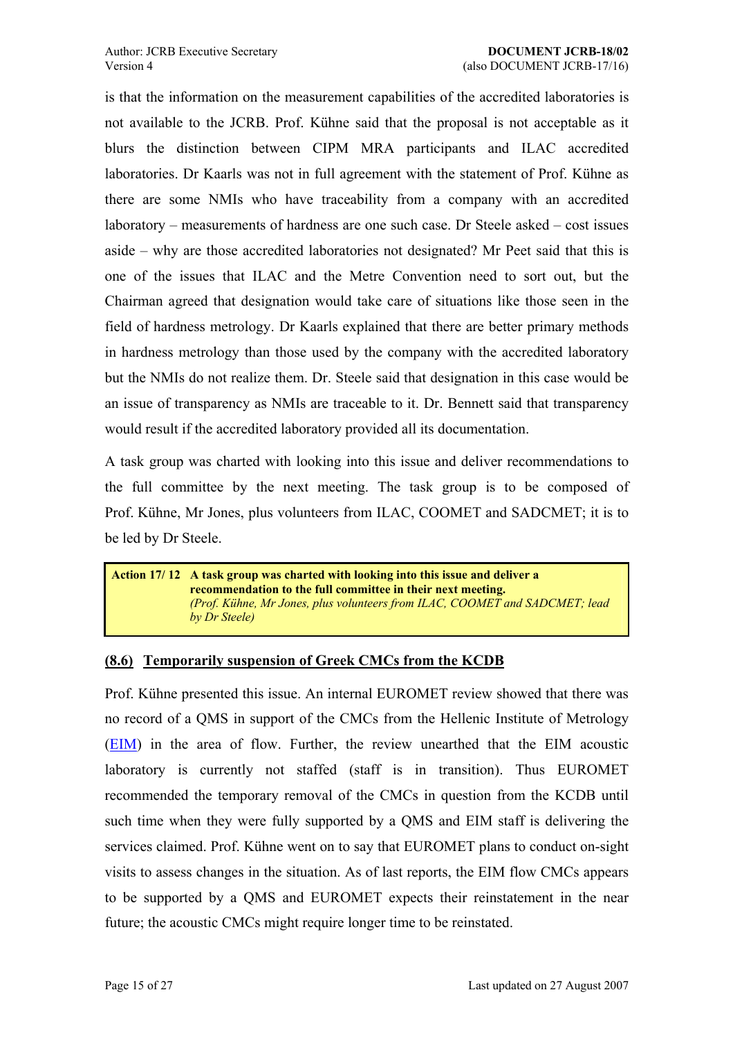<span id="page-14-0"></span>is that the information on the measurement capabilities of the accredited laboratories is not available to the JCRB. Prof. Kühne said that the proposal is not acceptable as it blurs the distinction between CIPM MRA participants and ILAC accredited laboratories. Dr Kaarls was not in full agreement with the statement of Prof. Kühne as there are some NMIs who have traceability from a company with an accredited laboratory – measurements of hardness are one such case. Dr Steele asked – cost issues aside – why are those accredited laboratories not designated? Mr Peet said that this is one of the issues that ILAC and the Metre Convention need to sort out, but the Chairman agreed that designation would take care of situations like those seen in the field of hardness metrology. Dr Kaarls explained that there are better primary methods in hardness metrology than those used by the company with the accredited laboratory but the NMIs do not realize them. Dr. Steele said that designation in this case would be an issue of transparency as NMIs are traceable to it. Dr. Bennett said that transparency would result if the accredited laboratory provided all its documentation.

A task group was charted with looking into this issue and deliver recommendations to the full committee by the next meeting. The task group is to be composed of Prof. Kühne, Mr Jones, plus volunteers from ILAC, COOMET and SADCMET; it is to be led by Dr Steele.

**Action 17/ 12 A task group was charted with looking into this issue and deliver a recommendation to the full committee in their next meeting.** *(Prof. K¸hne, Mr Jones, plus volunteers from ILAC, COOMET and SADCMET; lead by Dr Steele)*

### **(8.6) Temporarily suspension of Greek CMCs from the KCDB**

Prof. Kühne presented this issue. An internal EUROMET review showed that there was no record of a QMS in support of the CMCs from the Hellenic Institute of Metrology (EIM) in the area of flow. Further, the review unearthed that the EIM acoustic laboratory is currently not staffed (staff is in transition). Thus EUROMET [recom](http://www.eim.org.gr/)mended the temporary removal of the CMCs in question from the KCDB until such time when they were fully supported by a QMS and EIM staff is delivering the services claimed. Prof. Kühne went on to say that EUROMET plans to conduct on-sight visits to assess changes in the situation. As of last reports, the EIM flow CMCs appears to be supported by a QMS and EUROMET expects their reinstatement in the near future; the acoustic CMCs might require longer time to be reinstated.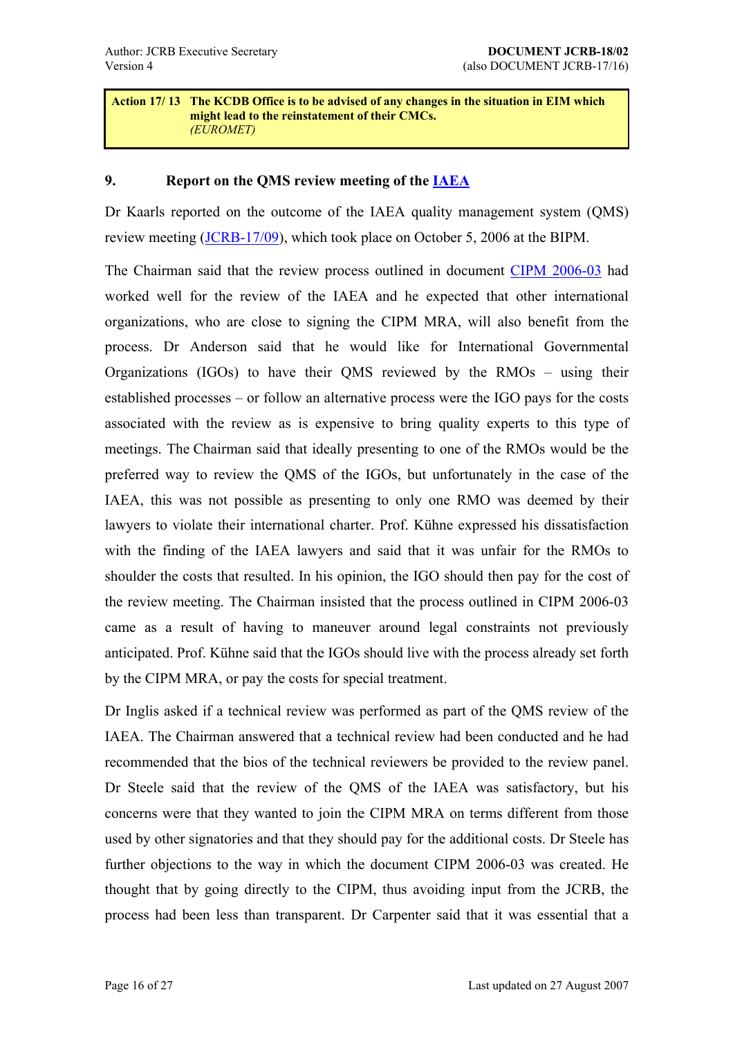#### <span id="page-15-0"></span>**Action 17/ 13 The KCDB Office is to be advised of any changes in the situation in EIM which might lead to the reinstatement of their CMCs.** *(EUROMET)*

### **9. Report on the QMS review meeting of the IAEA**

Dr Kaarls reported on the outcome of the IAEA quality management system (QMS) review meeting (JCRB-17/09), which took place on Oc[tober 5](http://www.iaea.org/), 2006 at the BIPM.

The Chairman said that the review process outlined in document CIPM 2006-03 had worked well fo[r the review](https://www1.bipm.org/cc/JCRB/Restricted/17/17.09.IAEA_QS_review_meeting_report.0.pdf) of the IAEA and he expected that other international organizations, who are close to signing the CIPM MRA, will al[so benefit from](https://www1.bipm.org/cc/JCRB/Restricted/17/17.14.1.CIPM2006_03_IGO_QS_Review.pdf) the process. Dr Anderson said that he would like for International Governmental Organizations (IGOs) to have their QMS reviewed by the  $RMOs - using$  their established processes  $-$  or follow an alternative process were the IGO pays for the costs associated with the review as is expensive to bring quality experts to this type of meetings. The Chairman said that ideally presenting to one of the RMOs would be the preferred way to review the QMS of the IGOs, but unfortunately in the case of the IAEA, this was not possible as presenting to only one RMO was deemed by their lawyers to violate their international charter. Prof. Kühne expressed his dissatisfaction with the finding of the IAEA lawyers and said that it was unfair for the RMOs to shoulder the costs that resulted. In his opinion, the IGO should then pay for the cost of the review meeting. The Chairman insisted that the process outlined in CIPM 2006-03 came as a result of having to maneuver around legal constraints not previously anticipated. Prof. Kühne said that the IGOs should live with the process already set forth by the CIPM MRA, or pay the costs for special treatment.

Dr Inglis asked if a technical review was performed as part of the QMS review of the IAEA. The Chairman answered that a technical review had been conducted and he had recommended that the bios of the technical reviewers be provided to the review panel. Dr Steele said that the review of the QMS of the IAEA was satisfactory, but his concerns were that they wanted to join the CIPM MRA on terms different from those used by other signatories and that they should pay for the additional costs. Dr Steele has further objections to the way in which the document CIPM 2006-03 was created. He thought that by going directly to the CIPM, thus avoiding input from the JCRB, the process had been less than transparent. Dr Carpenter said that it was essential that a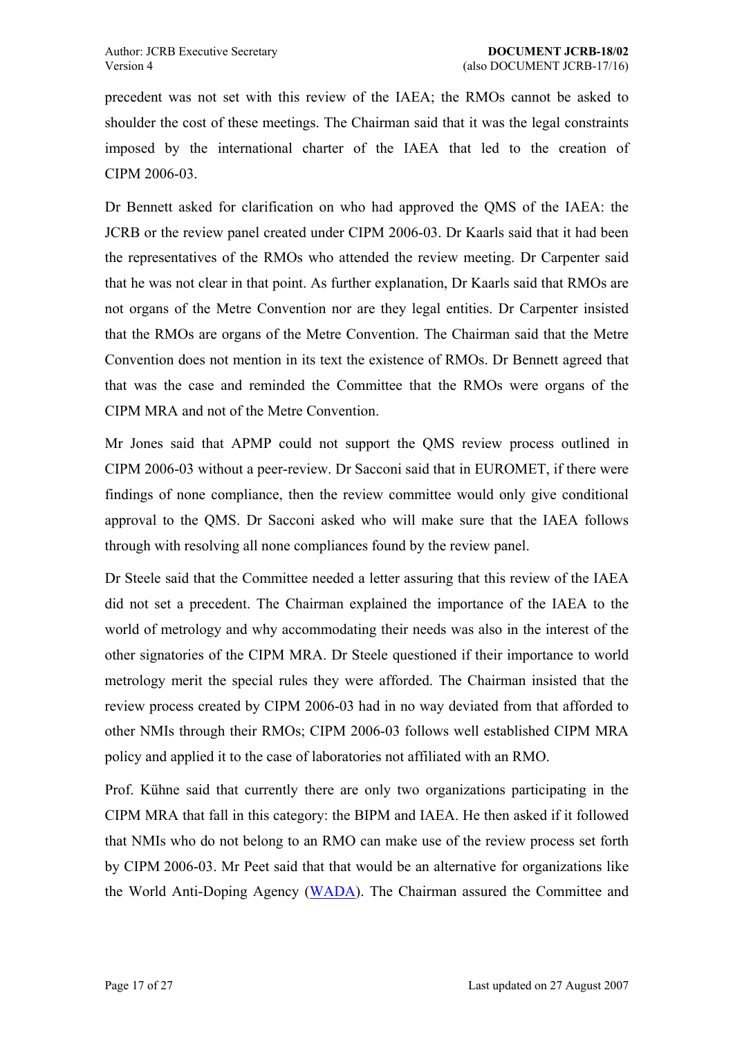precedent was not set with this review of the IAEA; the RMOs cannot be asked to shoulder the cost of these meetings. The Chairman said that it was the legal constraints imposed by the international charter of the IAEA that led to the creation of CIPM 2006-03.

Dr Bennett asked for clarification on who had approved the QMS of the IAEA: the JCRB or the review panel created under CIPM 2006-03. Dr Kaarls said that it had been the representatives of the RMOs who attended the review meeting. Dr Carpenter said that he was not clear in that point. As further explanation, Dr Kaarls said that RMOs are not organs of the Metre Convention nor are they legal entities. Dr Carpenter insisted that the RMOs are organs of the Metre Convention. The Chairman said that the Metre Convention does not mention in its text the existence of RMOs. Dr Bennett agreed that that was the case and reminded the Committee that the RMOs were organs of the CIPM MRA and not of the Metre Convention.

Mr Jones said that APMP could not support the QMS review process outlined in CIPM 2006-03 without a peer-review. Dr Sacconi said that in EUROMET, if there were findings of none compliance, then the review committee would only give conditional approval to the QMS. Dr Sacconi asked who will make sure that the IAEA follows through with resolving all none compliances found by the review panel.

Dr Steele said that the Committee needed a letter assuring that this review of the IAEA did not set a precedent. The Chairman explained the importance of the IAEA to the world of metrology and why accommodating their needs was also in the interest of the other signatories of the CIPM MRA. Dr Steele questioned if their importance to world metrology merit the special rules they were afforded. The Chairman insisted that the review process created by CIPM 2006-03 had in no way deviated from that afforded to other NMIs through their RMOs; CIPM 2006-03 follows well established CIPM MRA policy and applied it to the case of laboratories not affiliated with an RMO.

Prof. Kühne said that currently there are only two organizations participating in the CIPM MRA that fall in this category: the BIPM and IAEA. He then asked if it followed that NMIs who do not belong to an RMO can make use of the review process set forth by CIPM 2006-03. Mr Peet said that that would be an alternative for organizations like the World Anti-Doping Agency (WADA). The Chairman assured the Committee and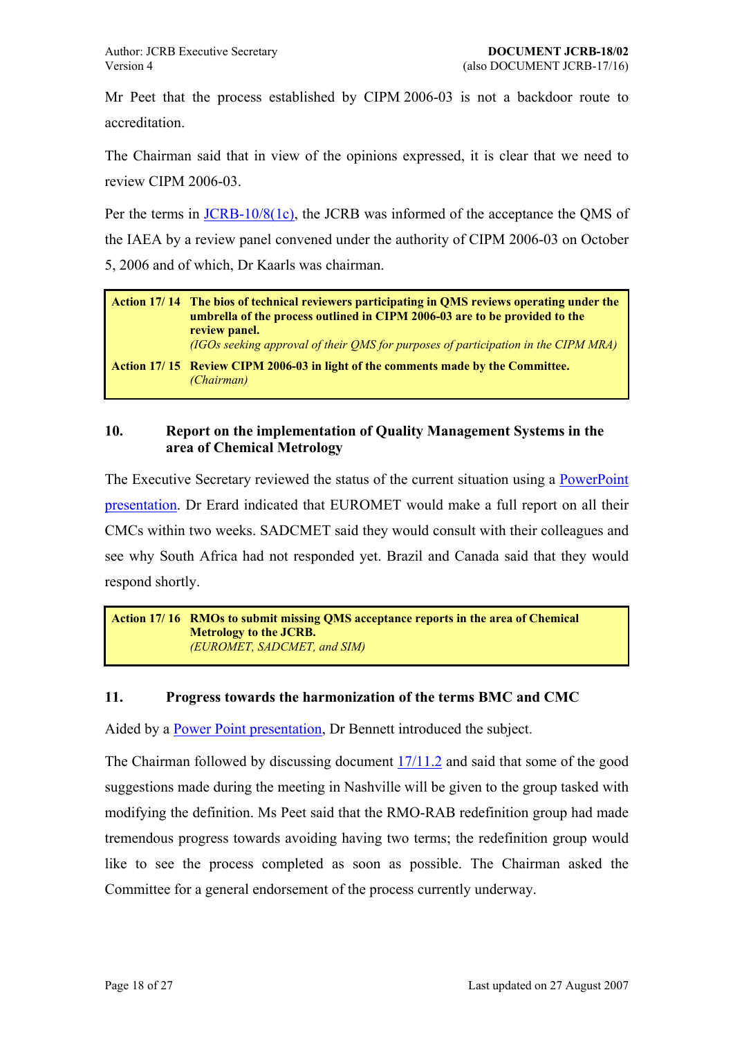<span id="page-17-0"></span>Mr Peet that the process established by CIPM 2006-03 is not a backdoor route to accreditation.

The Chairman said that in view of the opinions expressed, it is clear that we need to review CIPM 2006-03.

Per the terms in JCRB-10/8(1c), the JCRB was informed of the acceptance the QMS of the IAEA by a review panel convened under the authority of CIPM 2006-03 on October 5, 2006 and of [which, Dr Kaarls](https://www.bipm.org/utils/common/documents/jcrb/quality_systems.pdf) was chairman.

| Action 17/14 The bios of technical reviewers participating in QMS reviews operating under the<br>umbrella of the process outlined in CIPM 2006-03 are to be provided to the<br>review panel.<br>(IGOs seeking approval of their OMS for purposes of participation in the CIPM MRA) |
|------------------------------------------------------------------------------------------------------------------------------------------------------------------------------------------------------------------------------------------------------------------------------------|
| Action 17/15 Review CIPM 2006-03 in light of the comments made by the Committee.<br>(Chairman)                                                                                                                                                                                     |

### **10. Report on the implementation of Quality Management Systems in the area of Chemical Metrology**

The Executive Secretary reviewed the status of the current situation using a **PowerPoint** presentation. Dr Erard indicated that EUROMET would make a full report on all their CMCs within two weeks. SADCMET said they would consult with their col[leagues and](https://www1.bipm.org/cc/JCRB/Restricted/17/17.10.QM_QS_Report.ppt)  [see why Sou](https://www1.bipm.org/cc/JCRB/Restricted/17/17.10.QM_QS_Report.ppt)th Africa had not responded yet. Brazil and Canada said that they would respond shortly.

**Action 17/ 16 RMOs to submit missing QMS acceptance reports in the area of Chemical Metrology to the JCRB.**  *(EUROMET, SADCMET, and SIM)*

### **11. Progress towards the harmonization of the terms BMC and CMC**

Aided by a **Power Point presentation**, Dr Bennett introduced the subject.

The Chairman followed by discussing document 17/11.2 and said that some of the good suggestion[s made during the meeting](https://www1.bipm.org/cc/JCRB/Restricted/17/17.11.1b.CMC&BMC.ppt) in Nashville will be given to the group tasked with modifying the definition. Ms Peet said that the R[MO-RA](https://www1.bipm.org/cc/JCRB/Restricted/17/17.11.2.BMC_CMC_decisions_20060808_rev1.0.doc)B redefinition group had made tremendous progress towards avoiding having two terms; the redefinition group would like to see the process completed as soon as possible. The Chairman asked the Committee for a general endorsement of the process currently underway.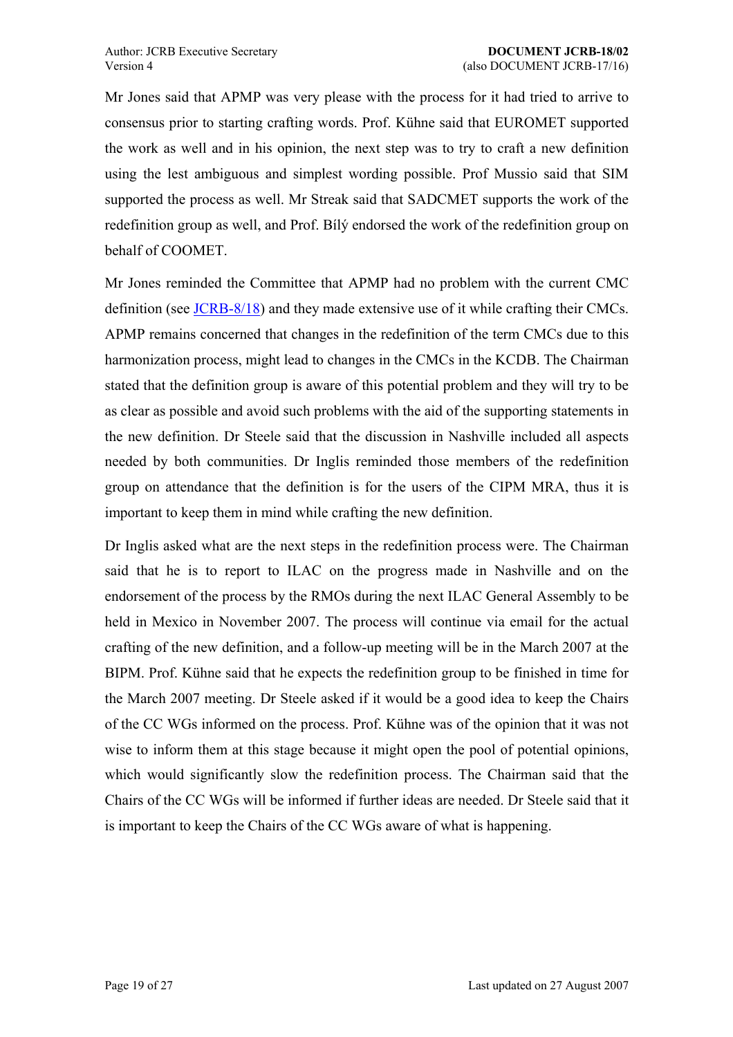Mr Jones said that APMP was very please with the process for it had tried to arrive to consensus prior to starting crafting words. Prof. Kühne said that EUROMET supported the work as well and in his opinion, the next step was to try to craft a new definition using the lest ambiguous and simplest wording possible. Prof Mussio said that SIM supported the process as well. Mr Streak said that SADCMET supports the work of the redefinition group as well, and Prof. Bílý endorsed the work of the redefinition group on behalf of COOMET.

Mr Jones reminded the Committee that APMP had no problem with the current CMC definition (see JCRB-8/18) and they made extensive use of it while crafting their CMCs. APMP remains concerned that changes in the redefinition of the term CMCs due to this harmonization [process, mi](https://www1.bipm.org/utils/common/documents/jcrb/definitions.pdf)ght lead to changes in the CMCs in the KCDB. The Chairman stated that the definition group is aware of this potential problem and they will try to be as clear as possible and avoid such problems with the aid of the supporting statements in the new definition. Dr Steele said that the discussion in Nashville included all aspects needed by both communities. Dr Inglis reminded those members of the redefinition group on attendance that the definition is for the users of the CIPM MRA, thus it is important to keep them in mind while crafting the new definition.

Dr Inglis asked what are the next steps in the redefinition process were. The Chairman said that he is to report to ILAC on the progress made in Nashville and on the endorsement of the process by the RMOs during the next ILAC General Assembly to be held in Mexico in November 2007. The process will continue via email for the actual crafting of the new definition, and a follow-up meeting will be in the March 2007 at the BIPM. Prof. Kühne said that he expects the redefinition group to be finished in time for the March 2007 meeting. Dr Steele asked if it would be a good idea to keep the Chairs of the CC WGs informed on the process. Prof. Kühne was of the opinion that it was not wise to inform them at this stage because it might open the pool of potential opinions, which would significantly slow the redefinition process. The Chairman said that the Chairs of the CC WGs will be informed if further ideas are needed. Dr Steele said that it is important to keep the Chairs of the CC WGs aware of what is happening.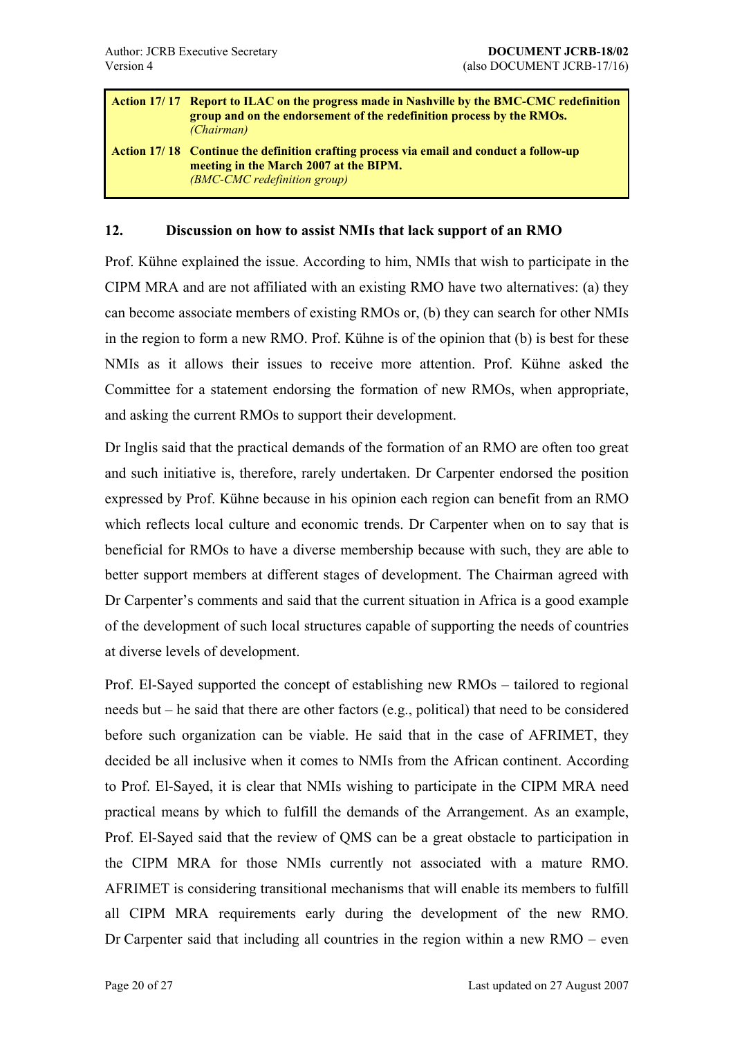<span id="page-19-0"></span>

| <b>Action 17/17 Report to ILAC on the progress made in Nashville by the BMC-CMC redefinition</b><br>group and on the endorsement of the redefinition process by the RMOs.<br><i>(Chairman)</i> |
|------------------------------------------------------------------------------------------------------------------------------------------------------------------------------------------------|
| <b>Action 17/18 Continue the definition crafting process via email and conduct a follow-up</b><br>meeting in the March 2007 at the BIPM.<br><i>(BMC-CMC redefinition group)</i>                |

### **12. Discussion on how to assist NMIs that lack support of an RMO**

Prof. Kühne explained the issue. According to him, NMIs that wish to participate in the CIPM MRA and are not affiliated with an existing RMO have two alternatives: (a) they can become associate members of existing RMOs or, (b) they can search for other NMIs in the region to form a new RMO. Prof. Kühne is of the opinion that  $(b)$  is best for these NMIs as it allows their issues to receive more attention. Prof. Kühne asked the Committee for a statement endorsing the formation of new RMOs, when appropriate, and asking the current RMOs to support their development.

Dr Inglis said that the practical demands of the formation of an RMO are often too great and such initiative is, therefore, rarely undertaken. Dr Carpenter endorsed the position expressed by Prof. Kühne because in his opinion each region can benefit from an RMO which reflects local culture and economic trends. Dr Carpenter when on to say that is beneficial for RMOs to have a diverse membership because with such, they are able to better support members at different stages of development. The Chairman agreed with Dr Carpenter's comments and said that the current situation in Africa is a good example of the development of such local structures capable of supporting the needs of countries at diverse levels of development.

Prof. El-Sayed supported the concept of establishing new  $RMOs - tailored$  to regional needs but  $-$  he said that there are other factors (e.g., political) that need to be considered before such organization can be viable. He said that in the case of AFRIMET, they decided be all inclusive when it comes to NMIs from the African continent. According to Prof. El-Sayed, it is clear that NMIs wishing to participate in the CIPM MRA need practical means by which to fulfill the demands of the Arrangement. As an example, Prof. El-Sayed said that the review of QMS can be a great obstacle to participation in the CIPM MRA for those NMIs currently not associated with a mature RMO. AFRIMET is considering transitional mechanisms that will enable its members to fulfill all CIPM MRA requirements early during the development of the new RMO. Dr Carpenter said that including all countries in the region within a new  $RMO - even$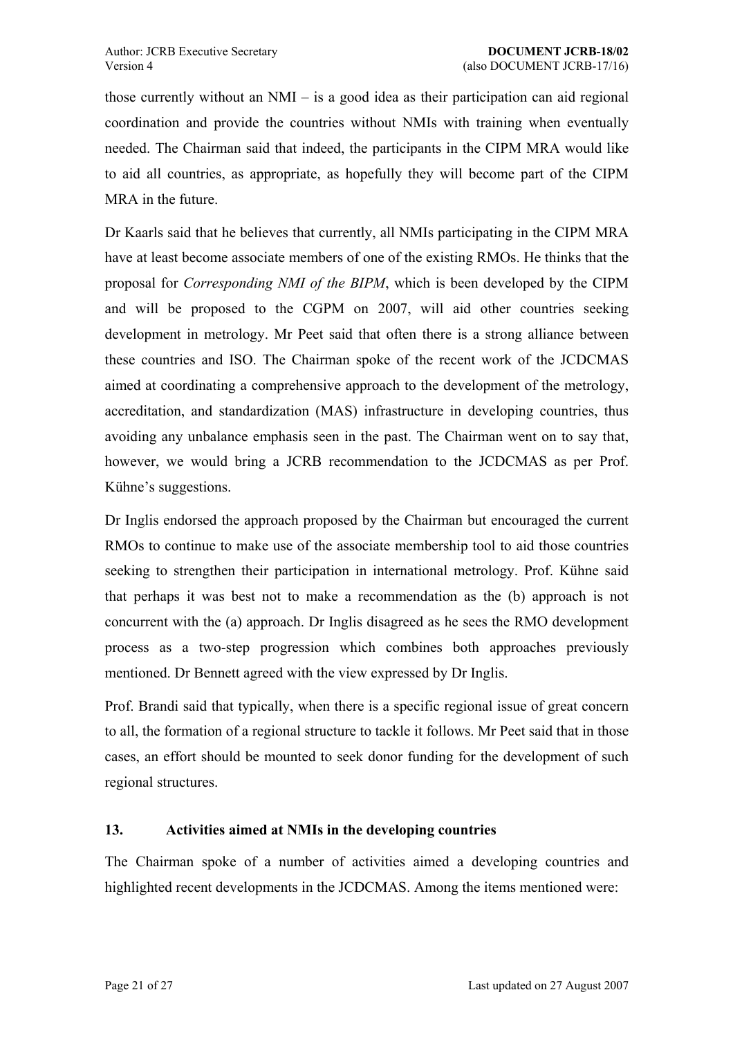<span id="page-20-0"></span>those currently without an  $NMI - is a good idea as their participation can aid regional$ coordination and provide the countries without NMIs with training when eventually needed. The Chairman said that indeed, the participants in the CIPM MRA would like to aid all countries, as appropriate, as hopefully they will become part of the CIPM MRA in the future.

Dr Kaarls said that he believes that currently, all NMIs participating in the CIPM MRA have at least become associate members of one of the existing RMOs. He thinks that the proposal for *Corresponding NMI of the BIPM*, which is been developed by the CIPM and will be proposed to the CGPM on 2007, will aid other countries seeking development in metrology. Mr Peet said that often there is a strong alliance between these countries and ISO. The Chairman spoke of the recent work of the JCDCMAS aimed at coordinating a comprehensive approach to the development of the metrology, accreditation, and standardization (MAS) infrastructure in developing countries, thus avoiding any unbalance emphasis seen in the past. The Chairman went on to say that, however, we would bring a JCRB recommendation to the JCDCMAS as per Prof. Kühne's suggestions.

Dr Inglis endorsed the approach proposed by the Chairman but encouraged the current RMOs to continue to make use of the associate membership tool to aid those countries seeking to strengthen their participation in international metrology. Prof. Kühne said that perhaps it was best not to make a recommendation as the (b) approach is not concurrent with the (a) approach. Dr Inglis disagreed as he sees the RMO development process as a two-step progression which combines both approaches previously mentioned. Dr Bennett agreed with the view expressed by Dr Inglis.

Prof. Brandi said that typically, when there is a specific regional issue of great concern to all, the formation of a regional structure to tackle it follows. Mr Peet said that in those cases, an effort should be mounted to seek donor funding for the development of such regional structures.

### **13. Activities aimed at NMIs in the developing countries**

The Chairman spoke of a number of activities aimed a developing countries and highlighted recent developments in the JCDCMAS. Among the items mentioned were: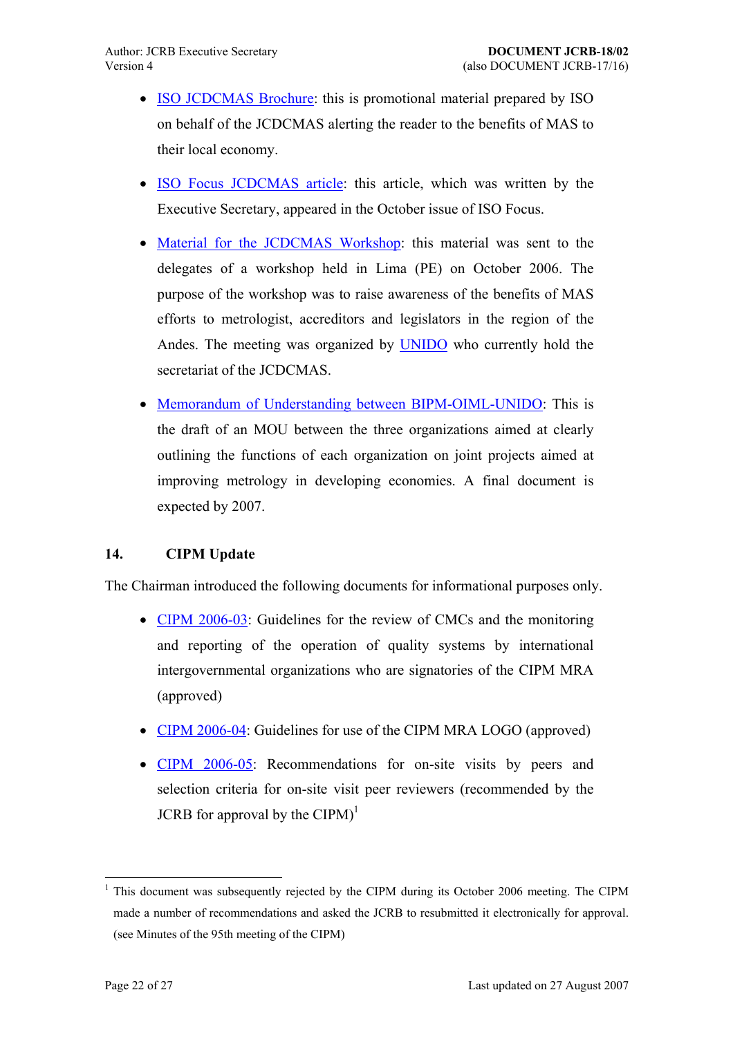- <span id="page-21-0"></span>• ISO JCDCMAS Brochure: this is promotional material prepared by ISO on behalf of the JCDCMAS alerting the reader to the benefits of MAS to [their local economy.](https://www1.bipm.org/cc/JCRB/Restricted/17/17.13.1a.ISO_JCDCMAS_Brochure.pdf)
- ISO Focus JCDCMAS article: this article, which was written by the Executive Secretary, appeared in the October issue of ISO Focus.
- [Material for the JCDCMAS W](https://www1.bipm.org/cc/JCRB/Restricted/17/17.13.1a.ISO_Focus_JCDCMAS_article.pdf)orkshop: this material was sent to the delegates of a workshop held in Lima (PE) on October 2006. The [purpose of the workshop was to raise aw](https://www1.bipm.org/cc/JCRB/Restricted/17/17.13.1c.Material_JCDCMAS_Workshop_in_Peru_2006.zip)areness of the benefits of MAS efforts to metrologist, accreditors and legislators in the region of the Andes. The meeting was organized by UNIDO who currently hold the secretariat of the JCDCMAS.
- Memorandum of Understanding betwee[n BIPM](http://www.unido.org/)-OIML-UNIDO: This is the draft of an MOU between the three organizations aimed at clearly [outlining the functions of each organization on joint projects a](https://www1.bipm.org/cc/JCRB/Restricted/17/17.13.2.Draft_BIPM-OIML-UNIDO_MoU_20060925.doc)imed at improving metrology in developing economies. A final document is expected by 2007.

### **14. CIPM Update**

The Chairman introduced the following documents for informational purposes only.

- CIPM 2006-03: Guidelines for the review of CMCs and the monitoring and reporting of the operation of quality systems by international [intergovernmen](https://www1.bipm.org/cc/JCRB/Restricted/17/17.14.1.CIPM2006_03_IGO_QS_Review.pdf)tal organizations who are signatories of the CIPM MRA (approved)
- CIPM 2006-04: Guidelines for use of the CIPM MRA LOGO (approved)
- CIPM 2006-05: Recommendations for on-site visits by peers and [selection criter](https://www1.bipm.org/cc/JCRB/Restricted/17/17.14.2.CIPM2006_04_Guide_to_CIPM_MRA_logo.pdf)ia for on-site visit peer reviewers (recommended by the [JCRB for approv](https://www1.bipm.org/cc/JCRB/Restricted/17/17.14.3.CIPM2006_05_On-site_visits.pdf)al by the  $CIPM$ <sup>1</sup>

1

<sup>1</sup> This document was subsequently rejected by the CIPM during its October 2006 meeting. The CIPM made a number of recommendations and asked the JCRB to resubmitted it electronically for approval. (see Minutes of the 95th meeting of the CIPM)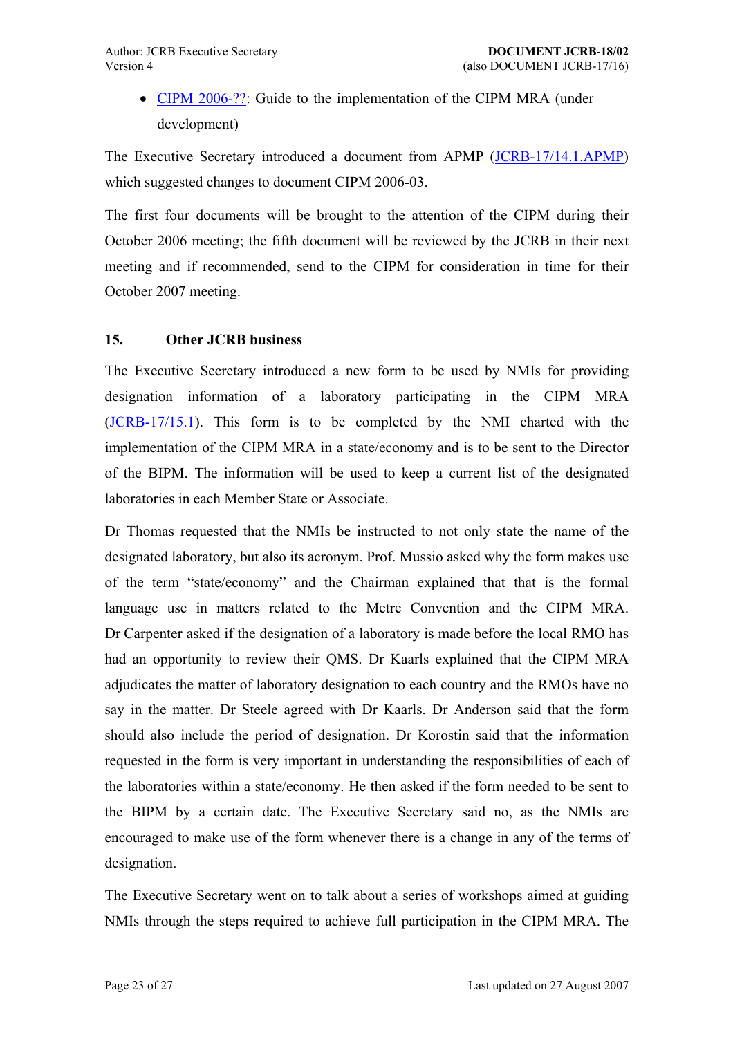• CIPM 2006-??: Guide to the implementation of the CIPM MRA (under development)

<span id="page-22-0"></span>The Exe[cutive Secretar](https://www1.bipm.org/cc/JCRB/Restricted/17/17.14.4.CIPM2006_06_MRA_user_guide.doc)y introduced a document from APMP (JCRB-17/14.1.APMP) which suggested changes to document CIPM 2006-03.

The first four documents will be brought to the attention of t[he CIPM during thei](https://www1.bipm.org/cc/JCRB/Restricted/17/17.14.1.APMP.1.doc)r October 2006 meeting; the fifth document will be reviewed by the JCRB in their next meeting and if recommended, send to the CIPM for consideration in time for their October 2007 meeting.

### **15. Other JCRB business**

The Executive Secretary introduced a new form to be used by NMIs for providing designation information of a laboratory participating in the CIPM MRA (JCRB-17/15.1). This form is to be completed by the NMI charted with the implementation of the CIPM MRA in a state/economy and is to be sent to the Director [of the BIPM. T](https://www1.bipm.org/cc/JCRB/Restricted/17/17.15.1.Request_for_Designation_Information.0.doc)he information will be used to keep a current list of the designated laboratories in each Member State or Associate.

Dr Thomas requested that the NMIs be instructed to not only state the name of the designated laboratory, but also its acronym. Prof. Mussio asked why the form makes use of the term "state/economy" and the Chairman explained that that is the formal language use in matters related to the Metre Convention and the CIPM MRA. Dr Carpenter asked if the designation of a laboratory is made before the local RMO has had an opportunity to review their QMS. Dr Kaarls explained that the CIPM MRA adjudicates the matter of laboratory designation to each country and the RMOs have no say in the matter. Dr Steele agreed with Dr Kaarls. Dr Anderson said that the form should also include the period of designation. Dr Korostin said that the information requested in the form is very important in understanding the responsibilities of each of the laboratories within a state/economy. He then asked if the form needed to be sent to the BIPM by a certain date. The Executive Secretary said no, as the NMIs are encouraged to make use of the form whenever there is a change in any of the terms of designation.

The Executive Secretary went on to talk about a series of workshops aimed at guiding NMIs through the steps required to achieve full participation in the CIPM MRA. The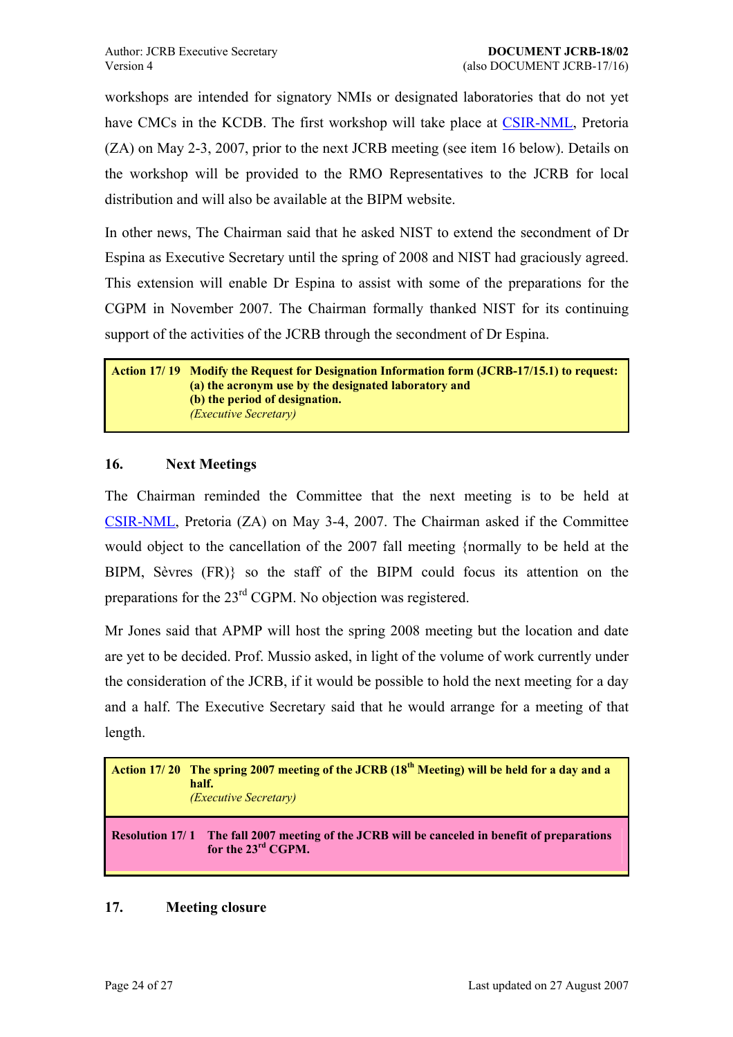<span id="page-23-0"></span>workshops are intended for signatory NMIs or designated laboratories that do not yet have CMCs in the KCDB. The first workshop will take place at CSIR-NML, Pretoria (ZA) on May 2-3, 2007, prior to the next JCRB meeting (see item 16 below). Details on the workshop will be provided to the RMO Representatives to [the JCRB](http://www.csir.co.za/nml/) for local distribution and will also be available at the BIPM website.

In other news, The Chairman said that he asked NIST to extend the secondment of Dr Espina as Executive Secretary until the spring of 2008 and NIST had graciously agreed. This extension will enable Dr Espina to assist with some of the preparations for the CGPM in November 2007. The Chairman formally thanked NIST for its continuing support of the activities of the JCRB through the secondment of Dr Espina.

**Action 17/ 19 Modify the Request for Designation Information form (JCRB-17/15.1) to request: (a) the acronym use by the designated laboratory and (b) the period of designation.** *(Executive Secretary)*

### **16. Next Meetings**

The Chairman reminded the Committee that the next meeting is to be held at CSIR-NML, Pretoria (ZA) on May 3-4, 2007. The Chairman asked if the Committee would object to the cancellation of the 2007 fall meeting {normally to be held at the BIPM, Sèvres (FR)} so the staff of the BIPM could focus its attention on the preparations for the 23rd CGPM. No objection was registered.

Mr Jones said that APMP will host the spring 2008 meeting but the location and date are yet to be decided. Prof. Mussio asked, in light of the volume of work currently under the consideration of the JCRB, if it would be possible to hold the next meeting for a day and a half. The Executive Secretary said that he would arrange for a meeting of that length.

|                        | Action 17/20 The spring 2007 meeting of the JCRB (18 <sup>th</sup> Meeting) will be held for a day and a<br>half.<br><i>(Executive Secretary)</i> |
|------------------------|---------------------------------------------------------------------------------------------------------------------------------------------------|
| <b>Resolution 17/1</b> | The fall 2007 meeting of the JCRB will be canceled in benefit of preparations<br>for the 23 <sup>rd</sup> CGPM.                                   |

### **17. Meeting closure**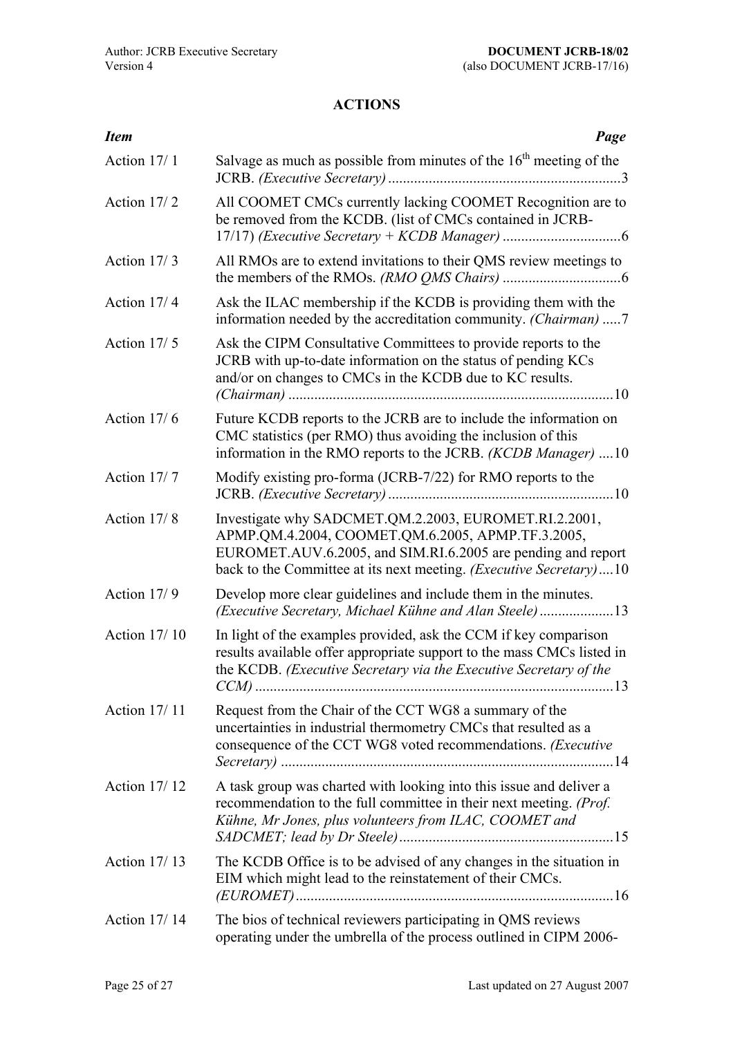# **ACTIONS**

<span id="page-24-0"></span>

| <b>Item</b>         | Page                                                                                                                                                                                                                                                     |
|---------------------|----------------------------------------------------------------------------------------------------------------------------------------------------------------------------------------------------------------------------------------------------------|
| Action 17/1         | Salvage as much as possible from minutes of the $16th$ meeting of the                                                                                                                                                                                    |
| Action 17/2         | All COOMET CMCs currently lacking COOMET Recognition are to<br>be removed from the KCDB. (list of CMCs contained in JCRB-                                                                                                                                |
| Action 17/3         | All RMOs are to extend invitations to their QMS review meetings to                                                                                                                                                                                       |
| Action 17/4         | Ask the ILAC membership if the KCDB is providing them with the<br>information needed by the accreditation community. (Chairman) 7                                                                                                                        |
| Action 17/5         | Ask the CIPM Consultative Committees to provide reports to the<br>JCRB with up-to-date information on the status of pending KCs<br>and/or on changes to CMCs in the KCDB due to KC results.                                                              |
| Action 17/6         | Future KCDB reports to the JCRB are to include the information on<br>CMC statistics (per RMO) thus avoiding the inclusion of this<br>information in the RMO reports to the JCRB. (KCDB Manager) 10                                                       |
| Action 17/7         | Modify existing pro-forma (JCRB-7/22) for RMO reports to the                                                                                                                                                                                             |
| Action 17/8         | Investigate why SADCMET.QM.2.2003, EUROMET.RI.2.2001,<br>APMP.QM.4.2004, COOMET.QM.6.2005, APMP.TF.3.2005,<br>EUROMET.AUV.6.2005, and SIM.RI.6.2005 are pending and report<br>back to the Committee at its next meeting. <i>(Executive Secretary)</i> 10 |
| Action 17/9         | Develop more clear guidelines and include them in the minutes.<br>(Executive Secretary, Michael Kühne and Alan Steele)13                                                                                                                                 |
| Action 17/10        | In light of the examples provided, ask the CCM if key comparison<br>results available offer appropriate support to the mass CMCs listed in<br>the KCDB. (Executive Secretary via the Executive Secretary of the                                          |
| Action 17/11        | Request from the Chair of the CCT WG8 a summary of the<br>uncertainties in industrial thermometry CMCs that resulted as a<br>consequence of the CCT WG8 voted recommendations. (Executive                                                                |
| Action 17/12        | A task group was charted with looking into this issue and deliver a<br>recommendation to the full committee in their next meeting. (Prof.<br>Kühne, Mr Jones, plus volunteers from ILAC, COOMET and                                                      |
| Action 17/13        | The KCDB Office is to be advised of any changes in the situation in<br>EIM which might lead to the reinstatement of their CMCs.                                                                                                                          |
| <b>Action 17/14</b> | The bios of technical reviewers participating in QMS reviews<br>operating under the umbrella of the process outlined in CIPM 2006-                                                                                                                       |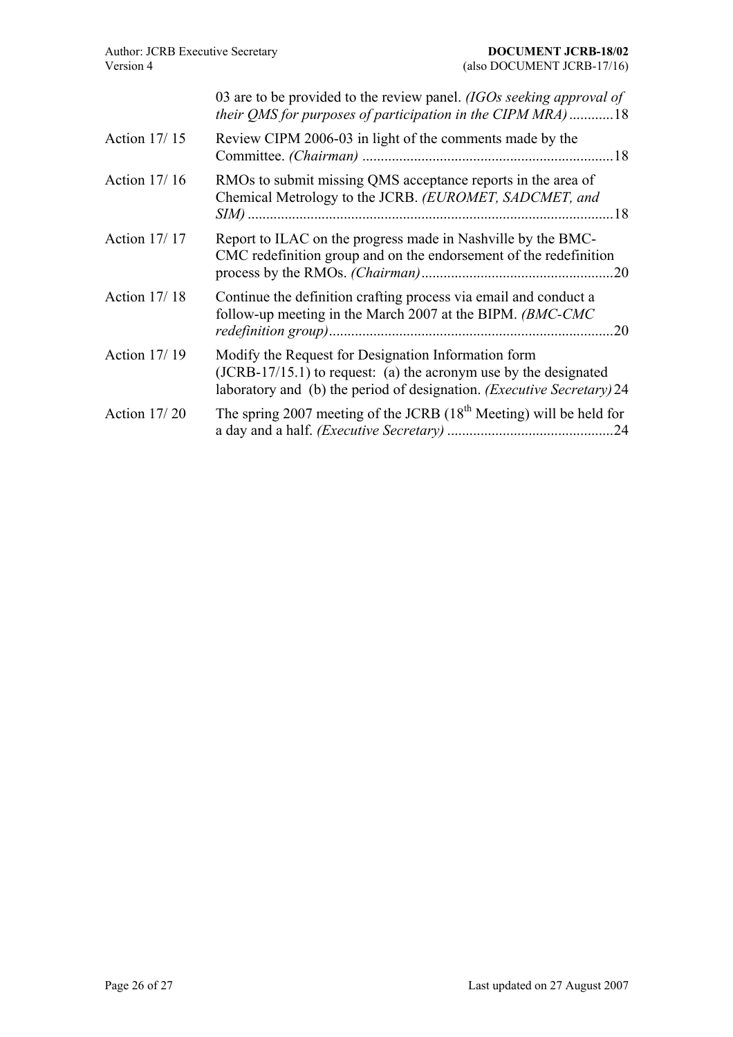| Version 4           | (also DOCUMENT JCRB-17/16)                                                                                                                                                                                   |
|---------------------|--------------------------------------------------------------------------------------------------------------------------------------------------------------------------------------------------------------|
|                     | 03 are to be provided to the review panel. (IGOs seeking approval of<br>their QMS for purposes of participation in the CIPM MRA)18                                                                           |
| <b>Action 17/15</b> | Review CIPM 2006-03 in light of the comments made by the                                                                                                                                                     |
| Action 17/16        | RMOs to submit missing QMS acceptance reports in the area of<br>Chemical Metrology to the JCRB. (EUROMET, SADCMET, and                                                                                       |
| <b>Action 17/17</b> | Report to ILAC on the progress made in Nashville by the BMC-<br>CMC redefinition group and on the endorsement of the redefinition                                                                            |
| <b>Action 17/18</b> | Continue the definition crafting process via email and conduct a<br>follow-up meeting in the March 2007 at the BIPM. (BMC-CMC<br>.20                                                                         |
| <b>Action 17/19</b> | Modify the Request for Designation Information form<br>$(JCRB-17/15.1)$ to request: (a) the acronym use by the designated<br>laboratory and (b) the period of designation. ( <i>Executive Secretary</i> ) 24 |
| <b>Action 17/20</b> | The spring 2007 meeting of the JCRB $(18th Meeting)$ will be held for                                                                                                                                        |